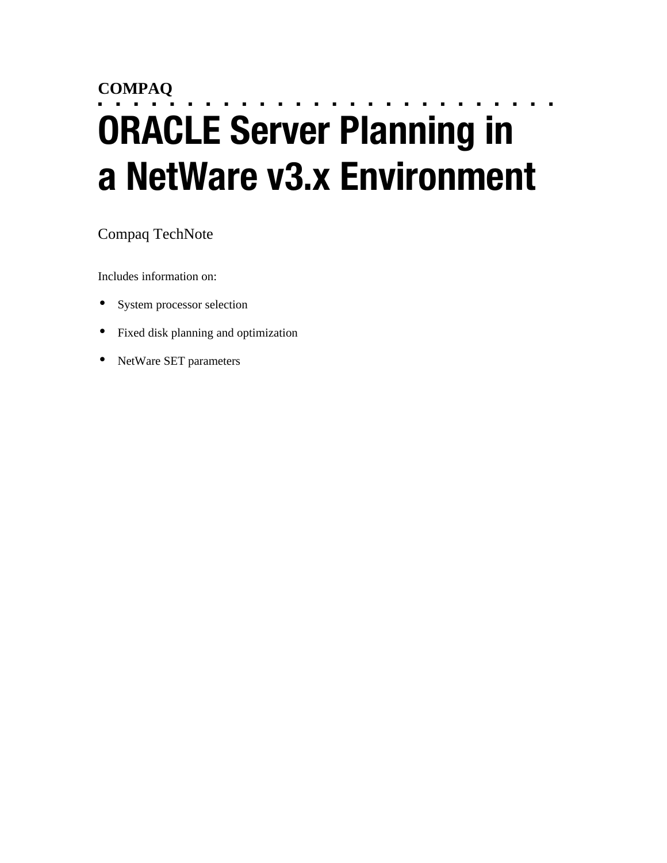# **COMPAQ** ■ ■ ■ ■ ■ ■ ■ ■ ■ ■ ■ ■ ■ ■ ■ ■ ■ ■ ■ ■ ■ ■ ■ ■ ■ ■ **ORACLE Server Planning in a NetWare v3.x Environment**

## Compaq TechNote

Includes information on:

- System processor selection
- Fixed disk planning and optimization
- NetWare SET parameters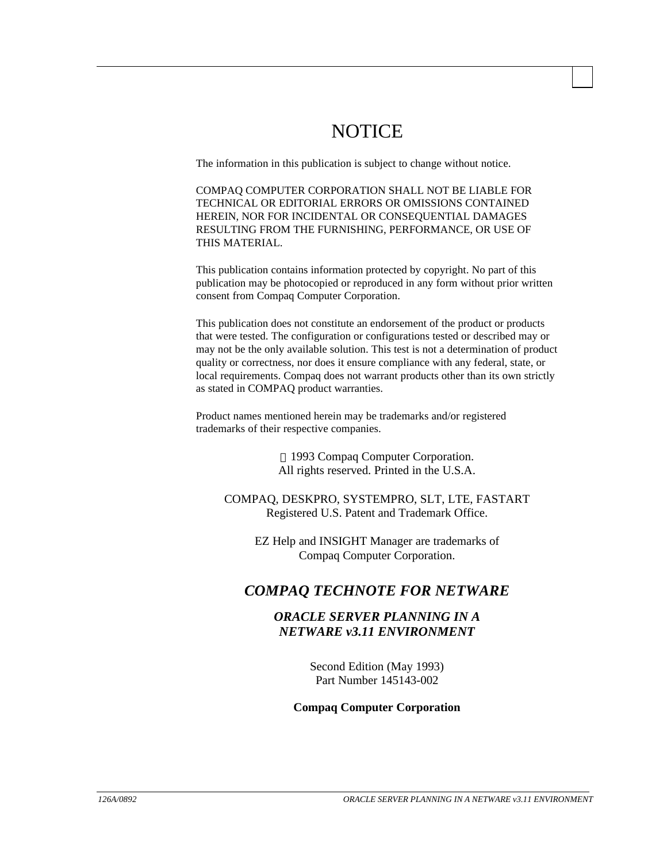# NOTICE

The information in this publication is subject to change without notice.

COMPAQ COMPUTER CORPORATION SHALL NOT BE LIABLE FOR TECHNICAL OR EDITORIAL ERRORS OR OMISSIONS CONTAINED HEREIN, NOR FOR INCIDENTAL OR CONSEQUENTIAL DAMAGES RESULTING FROM THE FURNISHING, PERFORMANCE, OR USE OF THIS MATERIAL.

This publication contains information protected by copyright. No part of this publication may be photocopied or reproduced in any form without prior written consent from Compaq Computer Corporation.

This publication does not constitute an endorsement of the product or products that were tested. The configuration or configurations tested or described may or may not be the only available solution. This test is not a determination of product quality or correctness, nor does it ensure compliance with any federal, state, or local requirements. Compaq does not warrant products other than its own strictly as stated in COMPAQ product warranties.

Product names mentioned herein may be trademarks and/or registered trademarks of their respective companies.

> 1993 Compaq Computer Corporation. All rights reserved. Printed in the U.S.A.

COMPAQ, DESKPRO, SYSTEMPRO, SLT, LTE, FASTART Registered U.S. Patent and Trademark Office.

EZ Help and INSIGHT Manager are trademarks of Compaq Computer Corporation.

## *COMPAQ TECHNOTE FOR NETWARE*

## *ORACLE SERVER PLANNING IN A NETWARE v3.11 ENVIRONMENT*

Second Edition (May 1993) Part Number 145143-002

#### **Compaq Computer Corporation**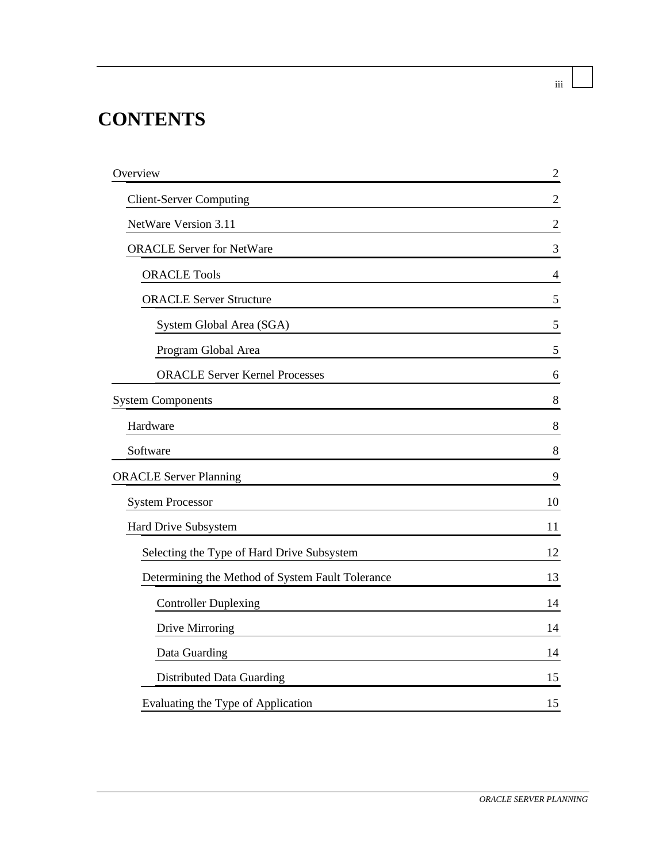# **CONTENTS**

| Overview                                         | $\overline{2}$ |
|--------------------------------------------------|----------------|
| <b>Client-Server Computing</b>                   | $\overline{2}$ |
| NetWare Version 3.11                             | $\overline{2}$ |
| <b>ORACLE Server for NetWare</b>                 | 3              |
| <b>ORACLE Tools</b>                              | 4              |
| <b>ORACLE Server Structure</b>                   | 5              |
| System Global Area (SGA)                         | $\mathfrak{S}$ |
| Program Global Area                              | 5              |
| <b>ORACLE Server Kernel Processes</b>            | 6              |
| <b>System Components</b>                         | 8              |
| Hardware                                         | 8              |
| Software                                         | $8\,$          |
| <b>ORACLE Server Planning</b>                    | 9              |
| <b>System Processor</b>                          | 10             |
| Hard Drive Subsystem                             | 11             |
| Selecting the Type of Hard Drive Subsystem       | 12             |
| Determining the Method of System Fault Tolerance | 13             |
| <b>Controller Duplexing</b>                      | 14             |
| Drive Mirroring                                  | 14             |
| Data Guarding                                    | 14             |
| Distributed Data Guarding                        | 15             |
| Evaluating the Type of Application               | 15             |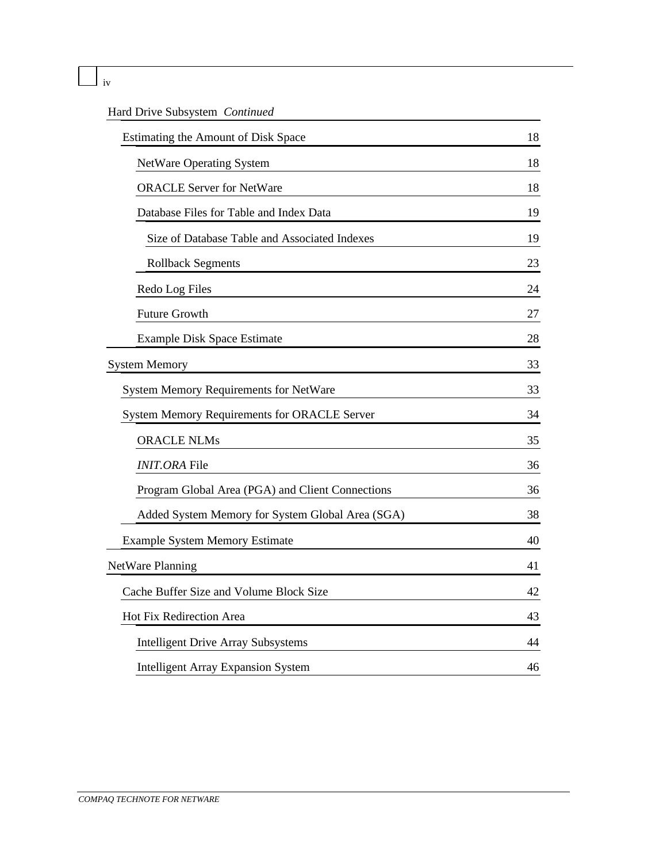|  | × |
|--|---|

## Hard Drive Subsystem *Continued*

| Estimating the Amount of Disk Space                 | 18 |
|-----------------------------------------------------|----|
| <b>NetWare Operating System</b>                     | 18 |
| <b>ORACLE Server for NetWare</b>                    | 18 |
| Database Files for Table and Index Data             | 19 |
| Size of Database Table and Associated Indexes       | 19 |
| <b>Rollback Segments</b>                            | 23 |
| Redo Log Files                                      | 24 |
| <b>Future Growth</b>                                | 27 |
| Example Disk Space Estimate                         | 28 |
| <b>System Memory</b>                                | 33 |
| System Memory Requirements for NetWare              | 33 |
| <b>System Memory Requirements for ORACLE Server</b> | 34 |
| <b>ORACLE NLMs</b>                                  | 35 |
| <b>INIT.ORA</b> File                                | 36 |
| Program Global Area (PGA) and Client Connections    | 36 |
| Added System Memory for System Global Area (SGA)    | 38 |
| <b>Example System Memory Estimate</b>               | 40 |
| NetWare Planning                                    | 41 |
| Cache Buffer Size and Volume Block Size             | 42 |
| Hot Fix Redirection Area                            | 43 |
| <b>Intelligent Drive Array Subsystems</b>           | 44 |
| <b>Intelligent Array Expansion System</b>           | 46 |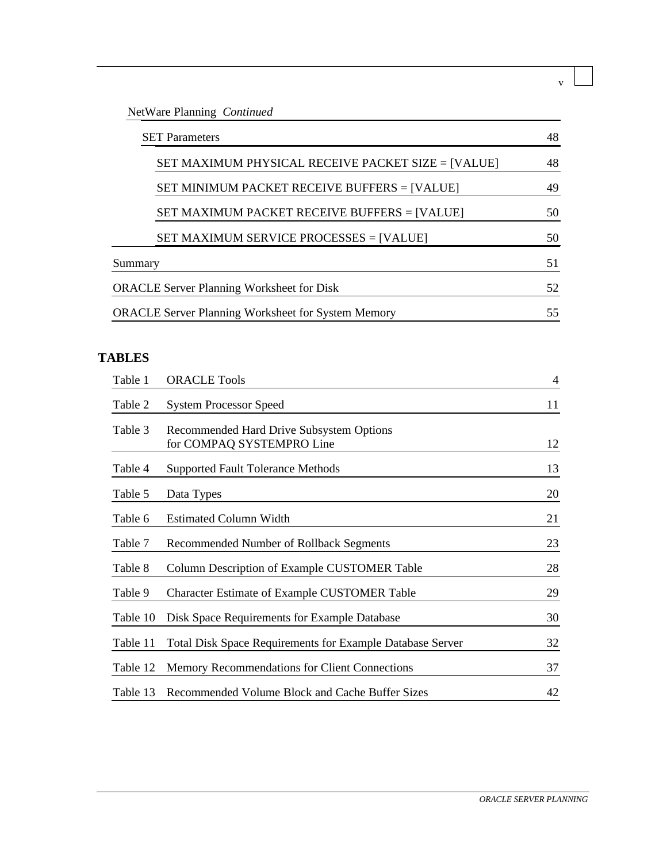## NetWare Planning *Continued*

| <b>SET Parameters</b> |                                                           | 48 |
|-----------------------|-----------------------------------------------------------|----|
|                       | SET MAXIMUM PHYSICAL RECEIVE PACKET SIZE = [VALUE]        | 48 |
|                       | SET MINIMUM PACKET RECEIVE BUFFERS = [VALUE]              | 49 |
|                       | SET MAXIMUM PACKET RECEIVE BUFFERS = [VALUE]              | 50 |
|                       | SET MAXIMUM SERVICE PROCESSES = [VALUE]                   | 50 |
| Summary               |                                                           | 51 |
|                       | <b>ORACLE Server Planning Worksheet for Disk</b>          | 52 |
|                       | <b>ORACLE Server Planning Worksheet for System Memory</b> | 55 |

## **TABLES**

| Table 1  | <b>ORACLE Tools</b>                                                   | $\overline{4}$ |
|----------|-----------------------------------------------------------------------|----------------|
| Table 2  | <b>System Processor Speed</b>                                         | 11             |
| Table 3  | Recommended Hard Drive Subsystem Options<br>for COMPAQ SYSTEMPRO Line | 12             |
| Table 4  | <b>Supported Fault Tolerance Methods</b>                              | 13             |
| Table 5  | Data Types                                                            | 20             |
| Table 6  | <b>Estimated Column Width</b>                                         | 21             |
| Table 7  | Recommended Number of Rollback Segments                               | 23             |
| Table 8  | Column Description of Example CUSTOMER Table                          | 28             |
| Table 9  | Character Estimate of Example CUSTOMER Table                          | 29             |
| Table 10 | Disk Space Requirements for Example Database                          | 30             |
| Table 11 | Total Disk Space Requirements for Example Database Server             | 32             |
| Table 12 | Memory Recommendations for Client Connections                         | 37             |
| Table 13 | Recommended Volume Block and Cache Buffer Sizes                       | 42             |

v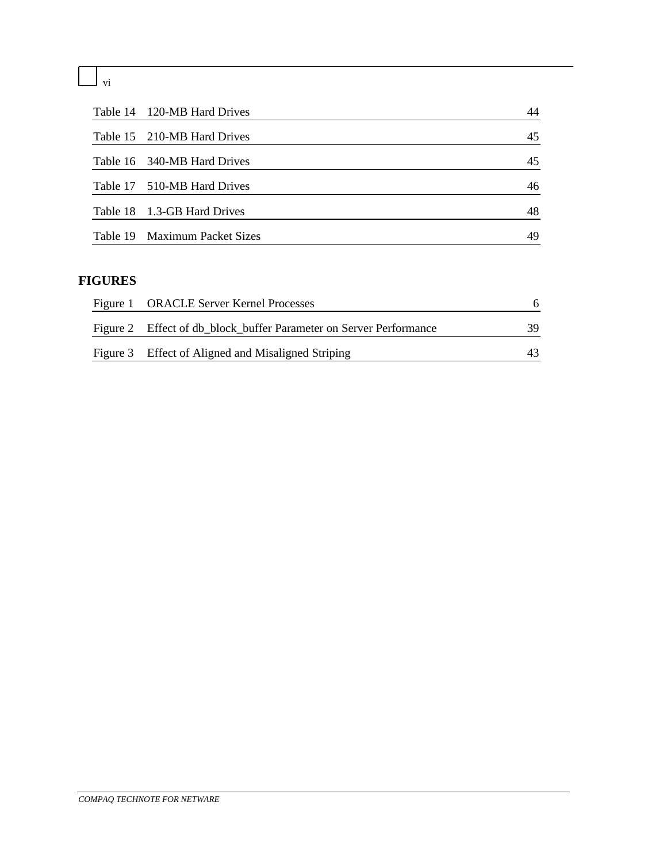vi

| Table 14 120-MB Hard Drives   | 44 |
|-------------------------------|----|
| Table 15 210-MB Hard Drives   | 45 |
| Table 16 340-MB Hard Drives   | 45 |
| Table 17 510-MB Hard Drives   | 46 |
| Table 18 1.3-GB Hard Drives   | 48 |
| Table 19 Maximum Packet Sizes | 49 |

## **FIGURES**

| Figure 1 ORACLE Server Kernel Processes                            |     |
|--------------------------------------------------------------------|-----|
| Figure 2 Effect of db_block_buffer Parameter on Server Performance | 39. |
| Figure 3 Effect of Aligned and Misaligned Striping                 |     |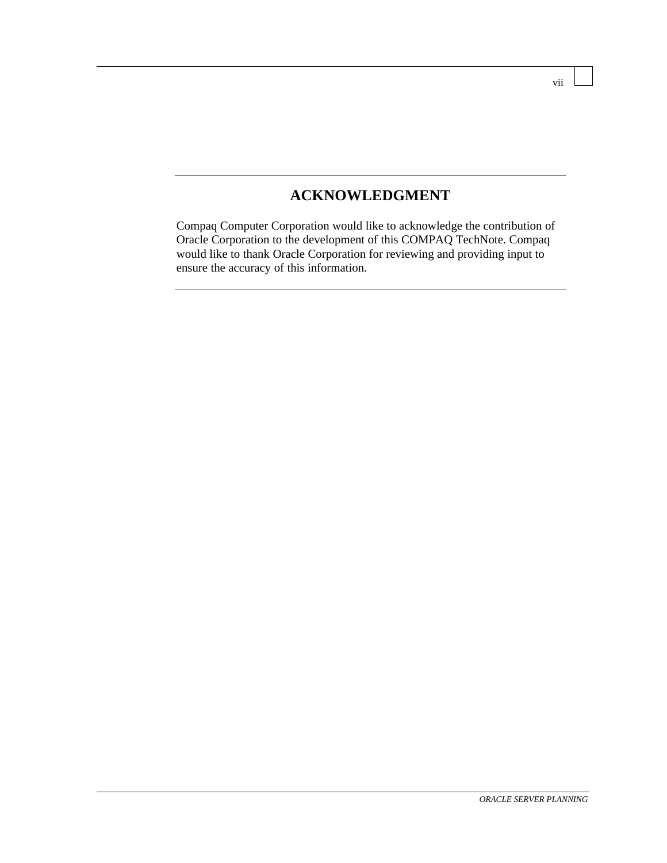## **ACKNOWLEDGMENT**

Compaq Computer Corporation would like to acknowledge the contribution of Oracle Corporation to the development of this COMPAQ TechNote. Compaq would like to thank Oracle Corporation for reviewing and providing input to ensure the accuracy of this information.

vii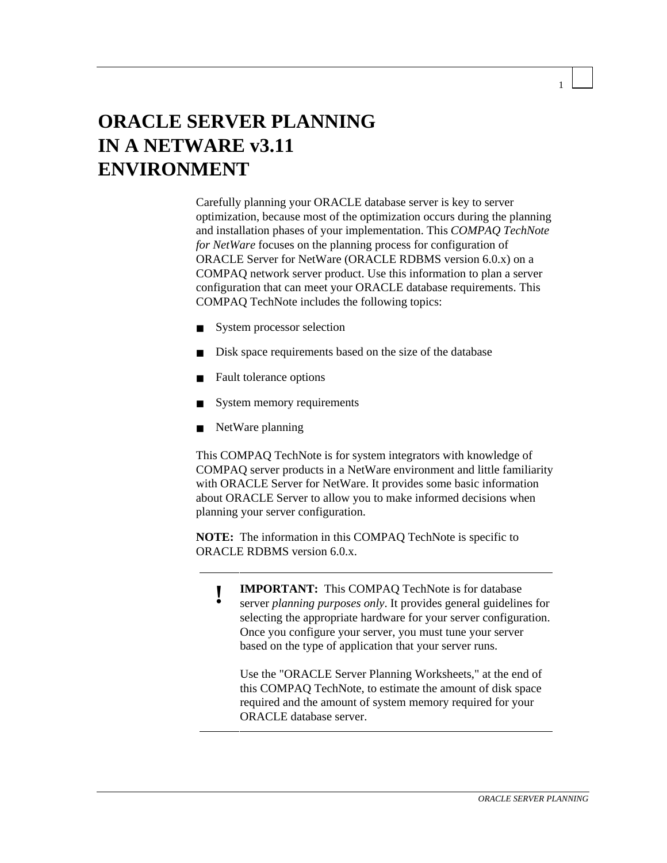# **ORACLE SERVER PLANNING IN A NETWARE v3.11 ENVIRONMENT**

Carefully planning your ORACLE database server is key to server optimization, because most of the optimization occurs during the planning and installation phases of your implementation. This *COMPAQ TechNote for NetWare* focuses on the planning process for configuration of ORACLE Server for NetWare (ORACLE RDBMS version 6.0.x) on a COMPAQ network server product. Use this information to plan a server configuration that can meet your ORACLE database requirements. This COMPAQ TechNote includes the following topics:

- System processor selection
- Disk space requirements based on the size of the database
- Fault tolerance options
- System memory requirements
- NetWare planning

This COMPAQ TechNote is for system integrators with knowledge of COMPAQ server products in a NetWare environment and little familiarity with ORACLE Server for NetWare. It provides some basic information about ORACLE Server to allow you to make informed decisions when planning your server configuration.

**NOTE:** The information in this COMPAQ TechNote is specific to ORACLE RDBMS version 6.0.x.

**! IMPORTANT:** This COMPAQ TechNote is for database server *planning purposes only*. It provides general guidelines for selecting the appropriate hardware for your server configuration. Once you configure your server, you must tune your server based on the type of application that your server runs.

Use the "ORACLE Server Planning Worksheets," at the end of this COMPAQ TechNote, to estimate the amount of disk space required and the amount of system memory required for your ORACLE database server.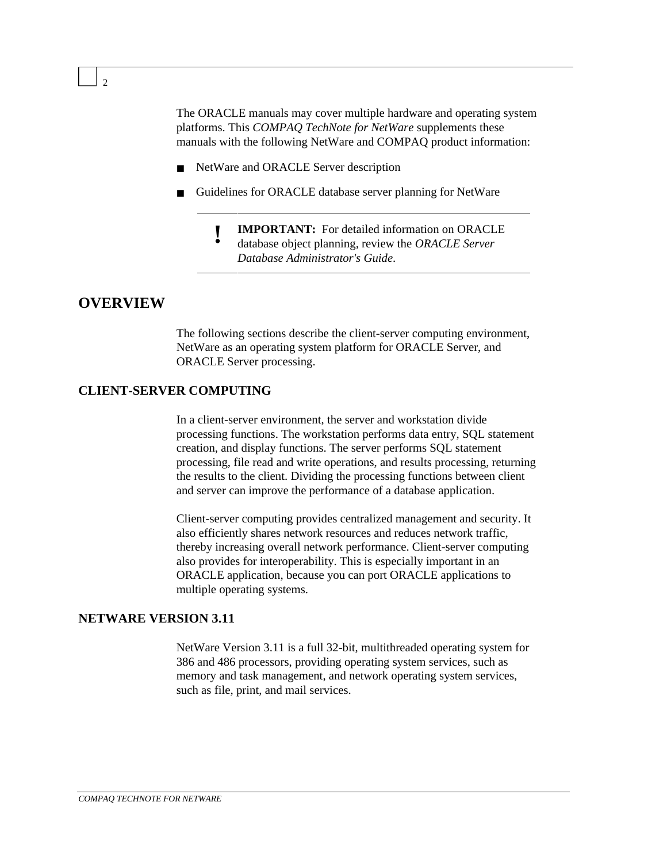The ORACLE manuals may cover multiple hardware and operating system platforms. This *COMPAQ TechNote for NetWare* supplements these manuals with the following NetWare and COMPAQ product information:

- NetWare and ORACLE Server description
- Guidelines for ORACLE database server planning for NetWare
	- **! IMPORTANT:** For detailed information on ORACLE
	- database object planning, review the *ORACLE Server Database Administrator's Guide*.

#### **OVERVIEW**

The following sections describe the client-server computing environment, NetWare as an operating system platform for ORACLE Server, and ORACLE Server processing.

#### **CLIENT-SERVER COMPUTING**

In a client-server environment, the server and workstation divide processing functions. The workstation performs data entry, SQL statement creation, and display functions. The server performs SQL statement processing, file read and write operations, and results processing, returning the results to the client. Dividing the processing functions between client and server can improve the performance of a database application.

Client-server computing provides centralized management and security. It also efficiently shares network resources and reduces network traffic, thereby increasing overall network performance. Client-server computing also provides for interoperability. This is especially important in an ORACLE application, because you can port ORACLE applications to multiple operating systems.

#### **NETWARE VERSION 3.11**

NetWare Version 3.11 is a full 32-bit, multithreaded operating system for 386 and 486 processors, providing operating system services, such as memory and task management, and network operating system services, such as file, print, and mail services.

 $\overline{2}$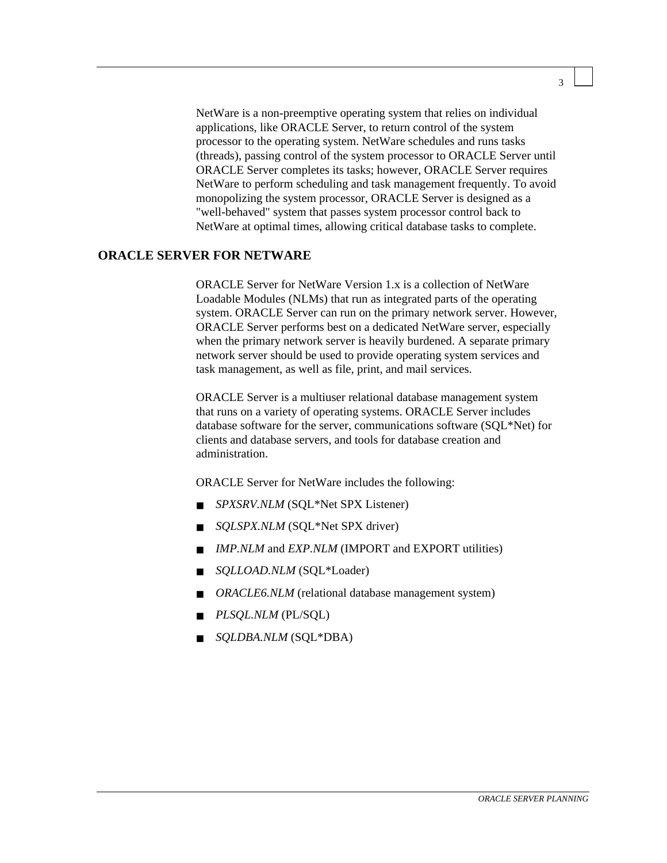NetWare is a non-preemptive operating system that relies on individual applications, like ORACLE Server, to return control of the system processor to the operating system. NetWare schedules and runs tasks (threads), passing control of the system processor to ORACLE Server until ORACLE Server completes its tasks; however, ORACLE Server requires NetWare to perform scheduling and task management frequently. To avoid monopolizing the system processor, ORACLE Server is designed as a "well-behaved" system that passes system processor control back to NetWare at optimal times, allowing critical database tasks to complete.

#### **ORACLE SERVER FOR NETWARE**

ORACLE Server for NetWare Version 1.x is a collection of NetWare Loadable Modules (NLMs) that run as integrated parts of the operating system. ORACLE Server can run on the primary network server. However, ORACLE Server performs best on a dedicated NetWare server, especially when the primary network server is heavily burdened. A separate primary network server should be used to provide operating system services and task management, as well as file, print, and mail services.

ORACLE Server is a multiuser relational database management system that runs on a variety of operating systems. ORACLE Server includes database software for the server, communications software (SQL\*Net) for clients and database servers, and tools for database creation and administration.

ORACLE Server for NetWare includes the following:

- *SPXSRV.NLM* (SQL<sup>\*</sup>Net SPX Listener)
- *SQLSPX.NLM* (SQL\*Net SPX driver)
- *IMP.NLM* and *EXP.NLM* (IMPORT and EXPORT utilities)
- *SOLLOAD.NLM* (SQL\*Loader)
- *ORACLE6.NLM* (relational database management system)
- *PLSOL.NLM* (PL/SOL)
- *SOLDBA.NLM* (SOL\*DBA)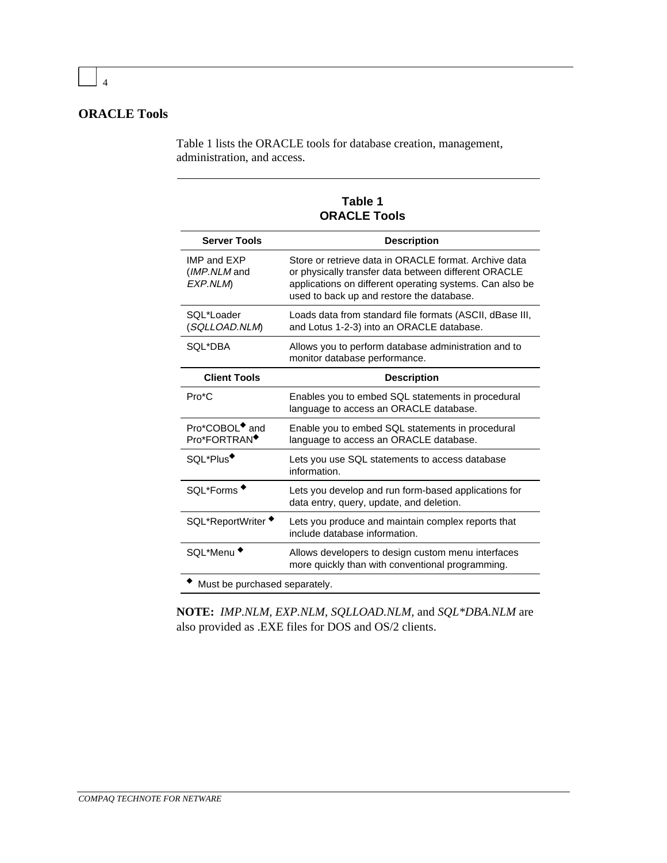### **ORACLE Tools**

Table 1 lists the ORACLE tools for database creation, management, administration, and access.

**Table 1 ORACLE Tools**

| <b>Server Tools</b>                                    | <b>Description</b>                                                                                                                                                                                                     |  |
|--------------------------------------------------------|------------------------------------------------------------------------------------------------------------------------------------------------------------------------------------------------------------------------|--|
| <b>IMP and EXP</b><br>(IMP.NLM and<br>EXP.NLM          | Store or retrieve data in ORACLE format. Archive data<br>or physically transfer data between different ORACLE<br>applications on different operating systems. Can also be<br>used to back up and restore the database. |  |
| SOL*Loader<br>(SQLLOAD.NLM)                            | Loads data from standard file formats (ASCII, dBase III,<br>and Lotus 1-2-3) into an ORACLE database.                                                                                                                  |  |
| SOL*DBA                                                | Allows you to perform database administration and to<br>monitor database performance.                                                                                                                                  |  |
| <b>Client Tools</b><br><b>Description</b>              |                                                                                                                                                                                                                        |  |
| $Pro*C$                                                | Enables you to embed SQL statements in procedural<br>language to access an ORACLE database.                                                                                                                            |  |
| Pro*COBOL <sup>+</sup> and<br>Pro*FORTRAN <sup>+</sup> | Enable you to embed SQL statements in procedural<br>language to access an ORACLE database.                                                                                                                             |  |
| SQL*Plus <sup>+</sup>                                  | Lets you use SQL statements to access database<br>information.                                                                                                                                                         |  |
| SQL*Forms                                              | Lets you develop and run form-based applications for<br>data entry, query, update, and deletion.                                                                                                                       |  |
| SQL*ReportWriter                                       | Lets you produce and maintain complex reports that<br>include database information.                                                                                                                                    |  |
| SQL*Menu <sup>'</sup>                                  | Allows developers to design custom menu interfaces<br>more quickly than with conventional programming.                                                                                                                 |  |
| Must be purchased separately.                          |                                                                                                                                                                                                                        |  |

**NOTE:** *IMP.NLM, EXP.NLM, SQLLOAD.NLM,* and *SQL\*DBA.NLM* are also provided as .EXE files for DOS and OS/2 clients.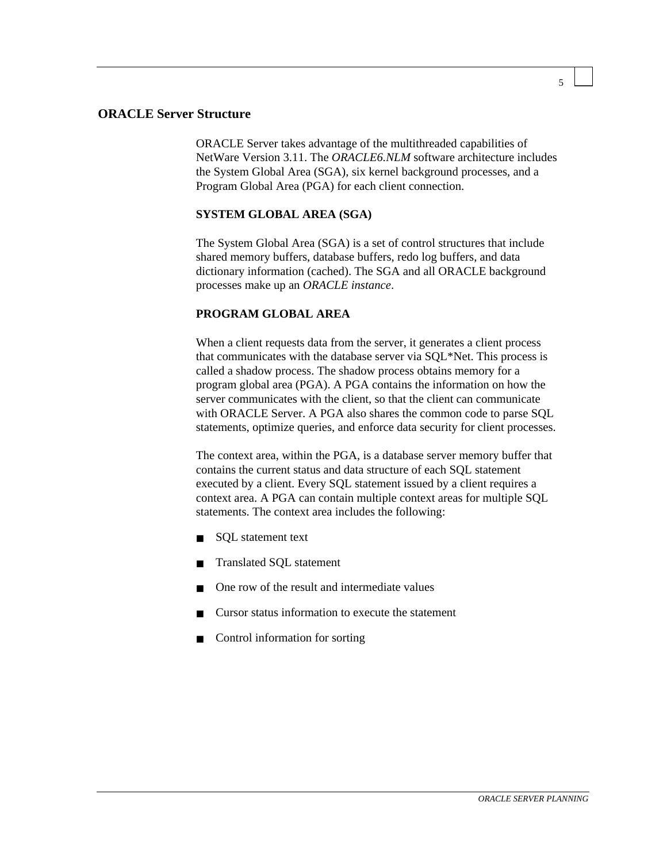#### **ORACLE Server Structure**

ORACLE Server takes advantage of the multithreaded capabilities of NetWare Version 3.11. The *ORACLE6.NLM* software architecture includes the System Global Area (SGA), six kernel background processes, and a Program Global Area (PGA) for each client connection.

#### **SYSTEM GLOBAL AREA (SGA)**

The System Global Area (SGA) is a set of control structures that include shared memory buffers, database buffers, redo log buffers, and data dictionary information (cached). The SGA and all ORACLE background processes make up an *ORACLE instance*.

#### **PROGRAM GLOBAL AREA**

When a client requests data from the server, it generates a client process that communicates with the database server via SQL\*Net. This process is called a shadow process. The shadow process obtains memory for a program global area (PGA). A PGA contains the information on how the server communicates with the client, so that the client can communicate with ORACLE Server. A PGA also shares the common code to parse SQL statements, optimize queries, and enforce data security for client processes.

The context area, within the PGA, is a database server memory buffer that contains the current status and data structure of each SQL statement executed by a client. Every SQL statement issued by a client requires a context area. A PGA can contain multiple context areas for multiple SQL statements. The context area includes the following:

- SQL statement text
- Translated SQL statement
- One row of the result and intermediate values
- Cursor status information to execute the statement
- Control information for sorting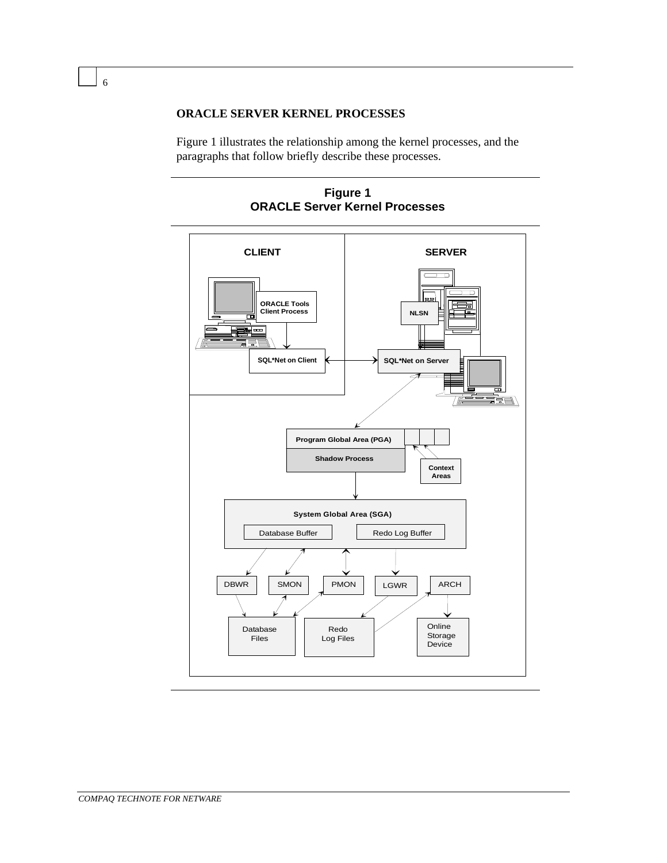**ORACLE SERVER KERNEL PROCESSES**

Figure 1 illustrates the relationship among the kernel processes, and the paragraphs that follow briefly describe these processes.

**Figure 1 ORACLE Server Kernel Processes**

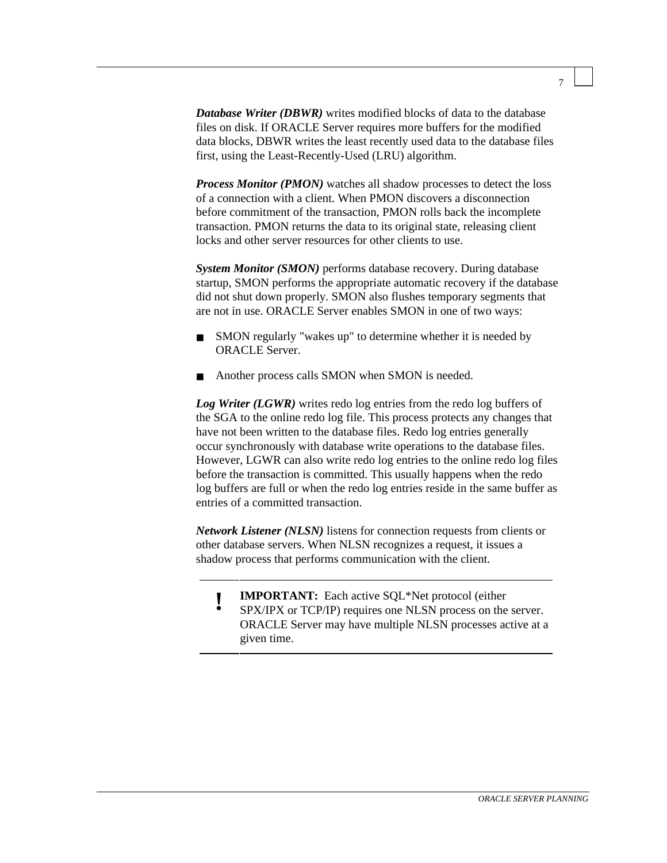*Database Writer (DBWR)* writes modified blocks of data to the database files on disk. If ORACLE Server requires more buffers for the modified data blocks, DBWR writes the least recently used data to the database files first, using the Least-Recently-Used (LRU) algorithm.

*Process Monitor (PMON)* watches all shadow processes to detect the loss of a connection with a client. When PMON discovers a disconnection before commitment of the transaction, PMON rolls back the incomplete transaction. PMON returns the data to its original state, releasing client locks and other server resources for other clients to use.

*System Monitor (SMON)* performs database recovery. During database startup, SMON performs the appropriate automatic recovery if the database did not shut down properly. SMON also flushes temporary segments that are not in use. ORACLE Server enables SMON in one of two ways:

- SMON regularly "wakes up" to determine whether it is needed by ORACLE Server.
- Another process calls SMON when SMON is needed.

*Log Writer (LGWR)* writes redo log entries from the redo log buffers of the SGA to the online redo log file. This process protects any changes that have not been written to the database files. Redo log entries generally occur synchronously with database write operations to the database files. However, LGWR can also write redo log entries to the online redo log files before the transaction is committed. This usually happens when the redo log buffers are full or when the redo log entries reside in the same buffer as entries of a committed transaction.

*Network Listener (NLSN)* listens for connection requests from clients or other database servers. When NLSN recognizes a request, it issues a shadow process that performs communication with the client.

- 
- **! IMPORTANT:** Each active SQL\*Net protocol (either SPX/IPX or TCP/IP) requires one NLSN process on the server. ORACLE Server may have multiple NLSN processes active at a given time.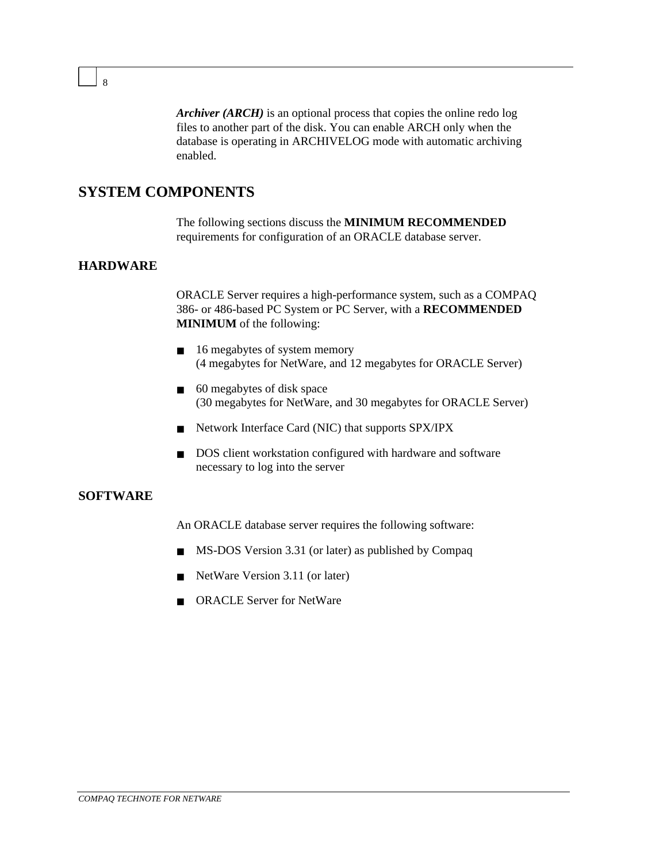*Archiver (ARCH)* is an optional process that copies the online redo log files to another part of the disk. You can enable ARCH only when the database is operating in ARCHIVELOG mode with automatic archiving enabled.

## **SYSTEM COMPONENTS**

The following sections discuss the **MINIMUM RECOMMENDED** requirements for configuration of an ORACLE database server.

#### **HARDWARE**

ORACLE Server requires a high-performance system, such as a COMPAQ 386- or 486-based PC System or PC Server, with a **RECOMMENDED MINIMUM** of the following:

- 16 megabytes of system memory (4 megabytes for NetWare, and 12 megabytes for ORACLE Server)
- 60 megabytes of disk space (30 megabytes for NetWare, and 30 megabytes for ORACLE Server)
- Network Interface Card (NIC) that supports SPX/IPX
- DOS client workstation configured with hardware and software necessary to log into the server

#### **SOFTWARE**

An ORACLE database server requires the following software:

- MS-DOS Version 3.31 (or later) as published by Compaq
- NetWare Version 3.11 (or later)
- ORACLE Server for NetWare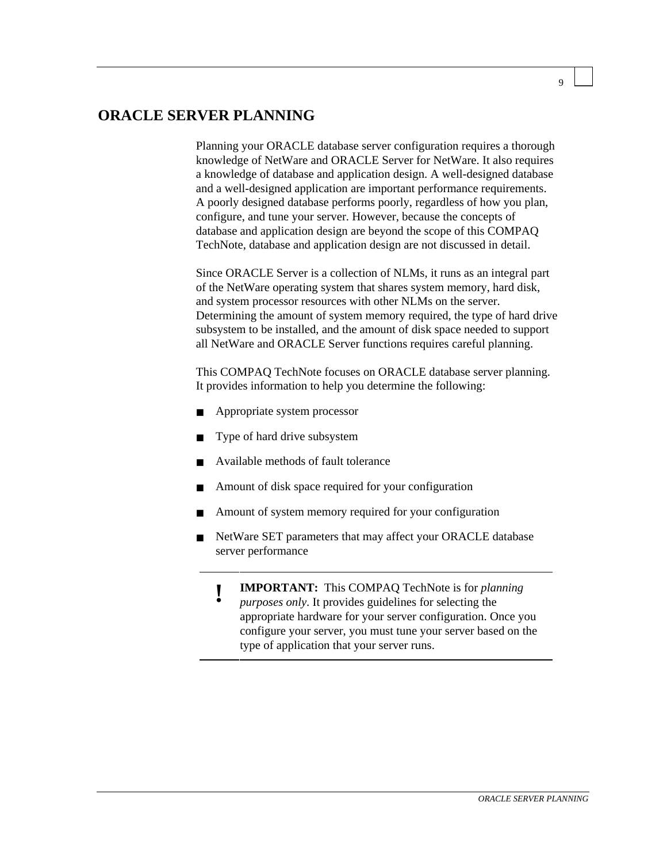## **ORACLE SERVER PLANNING**

Planning your ORACLE database server configuration requires a thorough knowledge of NetWare and ORACLE Server for NetWare. It also requires a knowledge of database and application design. A well-designed database and a well-designed application are important performance requirements. A poorly designed database performs poorly, regardless of how you plan, configure, and tune your server. However, because the concepts of database and application design are beyond the scope of this COMPAQ TechNote, database and application design are not discussed in detail.

Since ORACLE Server is a collection of NLMs, it runs as an integral part of the NetWare operating system that shares system memory, hard disk, and system processor resources with other NLMs on the server. Determining the amount of system memory required, the type of hard drive subsystem to be installed, and the amount of disk space needed to support all NetWare and ORACLE Server functions requires careful planning.

This COMPAQ TechNote focuses on ORACLE database server planning. It provides information to help you determine the following:

- Appropriate system processor
- Type of hard drive subsystem
- Available methods of fault tolerance
- Amount of disk space required for your configuration
- Amount of system memory required for your configuration
- NetWare SET parameters that may affect your ORACLE database server performance
	- **! IMPORTANT:** This COMPAQ TechNote is for *planning*
	- *purposes only*. It provides guidelines for selecting the appropriate hardware for your server configuration. Once you configure your server, you must tune your server based on the type of application that your server runs.

 $\overline{Q}$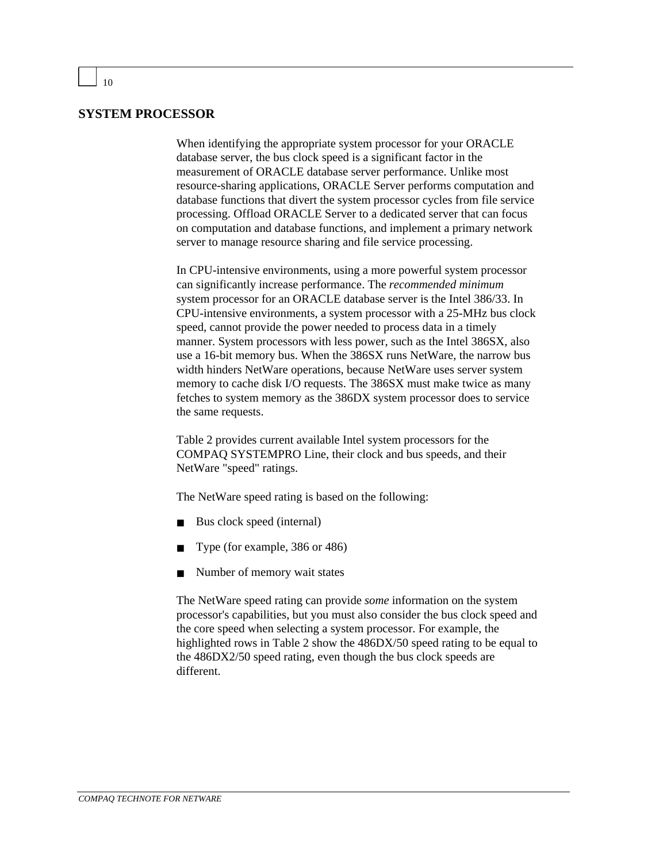#### **SYSTEM PROCESSOR**

When identifying the appropriate system processor for your ORACLE database server, the bus clock speed is a significant factor in the measurement of ORACLE database server performance. Unlike most resource-sharing applications, ORACLE Server performs computation and database functions that divert the system processor cycles from file service processing. Offload ORACLE Server to a dedicated server that can focus on computation and database functions, and implement a primary network server to manage resource sharing and file service processing.

In CPU-intensive environments, using a more powerful system processor can significantly increase performance. The *recommended minimum* system processor for an ORACLE database server is the Intel 386/33. In CPU-intensive environments, a system processor with a 25-MHz bus clock speed, cannot provide the power needed to process data in a timely manner. System processors with less power, such as the Intel 386SX, also use a 16-bit memory bus. When the 386SX runs NetWare, the narrow bus width hinders NetWare operations, because NetWare uses server system memory to cache disk I/O requests. The 386SX must make twice as many fetches to system memory as the 386DX system processor does to service the same requests.

Table 2 provides current available Intel system processors for the COMPAQ SYSTEMPRO Line, their clock and bus speeds, and their NetWare "speed" ratings.

The NetWare speed rating is based on the following:

- Bus clock speed (internal)
- Type (for example, 386 or 486)
- Number of memory wait states

The NetWare speed rating can provide *some* information on the system processor's capabilities, but you must also consider the bus clock speed and the core speed when selecting a system processor. For example, the highlighted rows in Table 2 show the 486DX/50 speed rating to be equal to the 486DX2/50 speed rating, even though the bus clock speeds are different.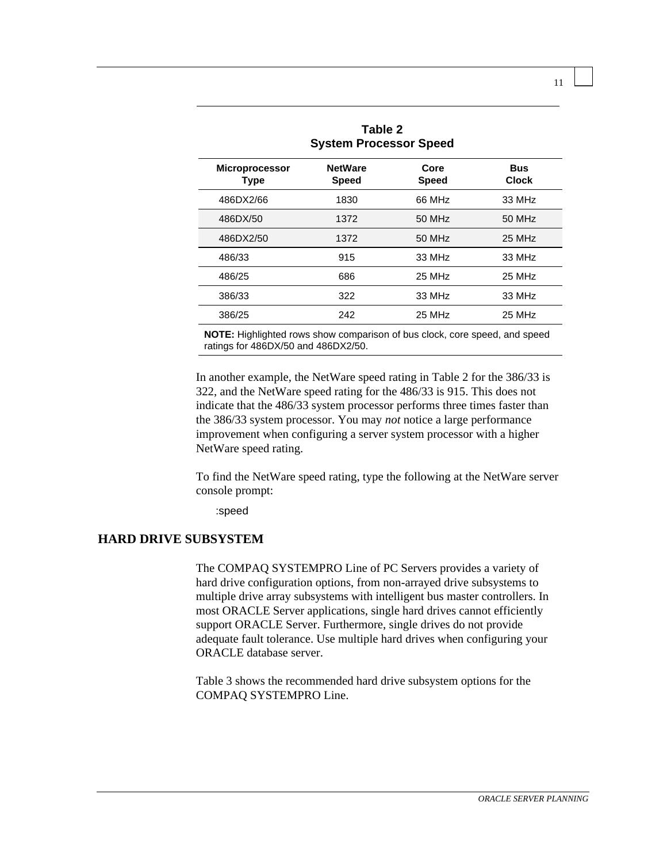| Table 2<br><b>System Processor Speed</b> |                                |                      |                            |
|------------------------------------------|--------------------------------|----------------------|----------------------------|
| <b>Microprocessor</b><br><b>Type</b>     | <b>NetWare</b><br><b>Speed</b> | Core<br><b>Speed</b> | <b>Bus</b><br><b>Clock</b> |
| 486DX2/66                                | 1830                           | 66 MHz               | 33 MHz                     |
| 486DX/50                                 | 1372                           | 50 MHz               | 50 MHz                     |
| 486DX2/50                                | 1372                           | 50 MHz               | 25 MHz                     |
| 486/33                                   | 915                            | 33 MHz               | 33 MHz                     |
| 486/25                                   | 686                            | 25 MHz               | 25 MHz                     |
| 386/33                                   | 322                            | 33 MHz               | 33 MHz                     |
| 386/25                                   | 242                            | 25 MHz               | 25 MHz                     |

**NOTE:** Highlighted rows show comparison of bus clock, core speed, and speed ratings for 486DX/50 and 486DX2/50.

In another example, the NetWare speed rating in Table 2 for the 386/33 is 322, and the NetWare speed rating for the 486/33 is 915. This does not indicate that the 486/33 system processor performs three times faster than the 386/33 system processor. You may *not* notice a large performance improvement when configuring a server system processor with a higher NetWare speed rating.

To find the NetWare speed rating, type the following at the NetWare server console prompt:

:speed

#### **HARD DRIVE SUBSYSTEM**

The COMPAQ SYSTEMPRO Line of PC Servers provides a variety of hard drive configuration options, from non-arrayed drive subsystems to multiple drive array subsystems with intelligent bus master controllers. In most ORACLE Server applications, single hard drives cannot efficiently support ORACLE Server. Furthermore, single drives do not provide adequate fault tolerance. Use multiple hard drives when configuring your ORACLE database server.

Table 3 shows the recommended hard drive subsystem options for the COMPAQ SYSTEMPRO Line.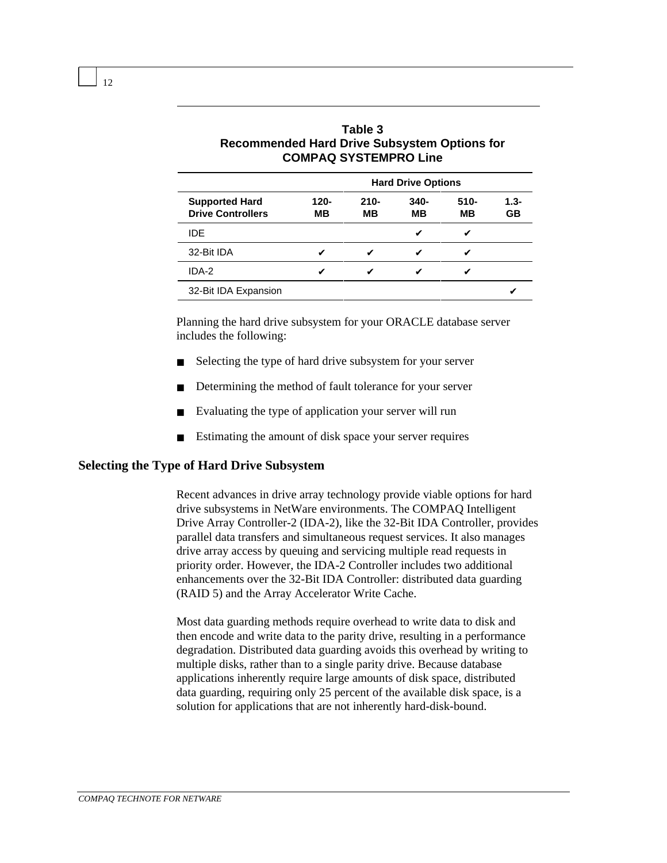|                                                   | 996 - 896 - 897 - 898 - 899 - 899 - 899 - 899 - 899 - 899 - 899 - 899 - 899 - 89 |               |               |               |               |
|---------------------------------------------------|----------------------------------------------------------------------------------|---------------|---------------|---------------|---------------|
|                                                   | <b>Hard Drive Options</b>                                                        |               |               |               |               |
| <b>Supported Hard</b><br><b>Drive Controllers</b> | $120 -$<br>MВ                                                                    | $210 -$<br>MВ | $340 -$<br>MВ | $510 -$<br>MВ | $1.3 -$<br>GB |
| IDE.                                              |                                                                                  |               | v             | v             |               |
| 32-Bit IDA                                        | V                                                                                | ✔             | v             |               |               |
| IDA-2                                             | v                                                                                | v             |               |               |               |
| 32-Bit IDA Expansion                              |                                                                                  |               |               |               |               |

**Table 3 Recommended Hard Drive Subsystem Options for COMPAQ SYSTEMPRO Line**

Planning the hard drive subsystem for your ORACLE database server includes the following:

- Selecting the type of hard drive subsystem for your server
- Determining the method of fault tolerance for your server
- Evaluating the type of application your server will run
- Estimating the amount of disk space your server requires

#### **Selecting the Type of Hard Drive Subsystem**

Recent advances in drive array technology provide viable options for hard drive subsystems in NetWare environments. The COMPAQ Intelligent Drive Array Controller-2 (IDA-2), like the 32-Bit IDA Controller, provides parallel data transfers and simultaneous request services. It also manages drive array access by queuing and servicing multiple read requests in priority order. However, the IDA-2 Controller includes two additional enhancements over the 32-Bit IDA Controller: distributed data guarding (RAID 5) and the Array Accelerator Write Cache.

Most data guarding methods require overhead to write data to disk and then encode and write data to the parity drive, resulting in a performance degradation. Distributed data guarding avoids this overhead by writing to multiple disks, rather than to a single parity drive. Because database applications inherently require large amounts of disk space, distributed data guarding, requiring only 25 percent of the available disk space, is a solution for applications that are not inherently hard-disk-bound.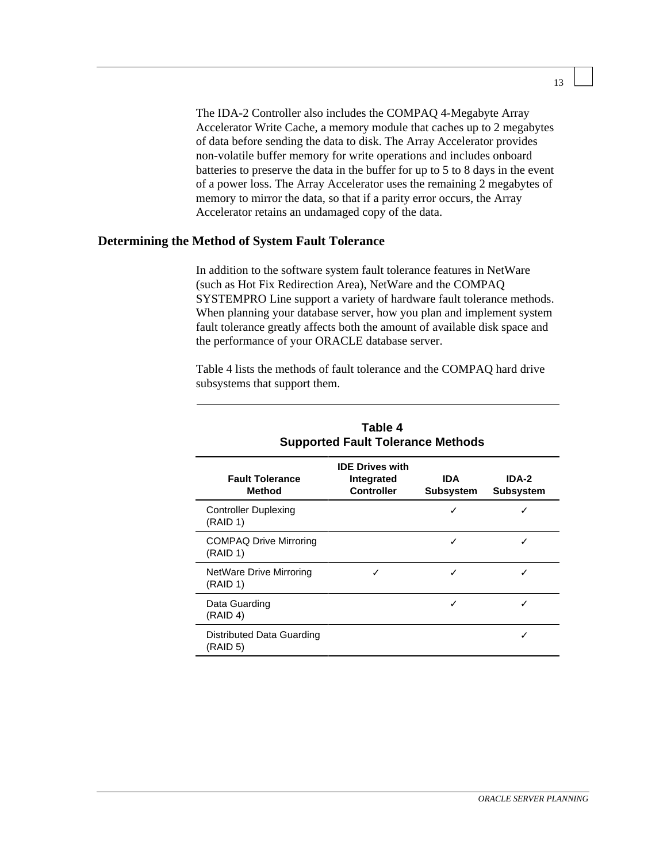The IDA-2 Controller also includes the COMPAQ 4-Megabyte Array Accelerator Write Cache, a memory module that caches up to 2 megabytes of data before sending the data to disk. The Array Accelerator provides non-volatile buffer memory for write operations and includes onboard batteries to preserve the data in the buffer for up to 5 to 8 days in the event of a power loss. The Array Accelerator uses the remaining 2 megabytes of memory to mirror the data, so that if a parity error occurs, the Array Accelerator retains an undamaged copy of the data.

#### **Determining the Method of System Fault Tolerance**

In addition to the software system fault tolerance features in NetWare (such as Hot Fix Redirection Area), NetWare and the COMPAQ SYSTEMPRO Line support a variety of hardware fault tolerance methods. When planning your database server, how you plan and implement system fault tolerance greatly affects both the amount of available disk space and the performance of your ORACLE database server.

Table 4 lists the methods of fault tolerance and the COMPAQ hard drive subsystems that support them.

| Table 4<br><b>Supported Fault Tolerance Methods</b> |                                                           |                                |                           |
|-----------------------------------------------------|-----------------------------------------------------------|--------------------------------|---------------------------|
| <b>Fault Tolerance</b><br>Method                    | <b>IDE Drives with</b><br>Integrated<br><b>Controller</b> | <b>IDA</b><br><b>Subsystem</b> | IDA-2<br><b>Subsystem</b> |
| <b>Controller Duplexing</b><br>(RAID 1)             |                                                           |                                |                           |
| <b>COMPAQ Drive Mirroring</b><br>(RAID 1)           |                                                           | ✓                              |                           |
| NetWare Drive Mirroring<br>(RAID 1)                 |                                                           |                                |                           |
| Data Guarding<br>(RAID 4)                           |                                                           | ✓                              |                           |
| Distributed Data Guarding<br>(RAID <sub>5</sub> )   |                                                           |                                |                           |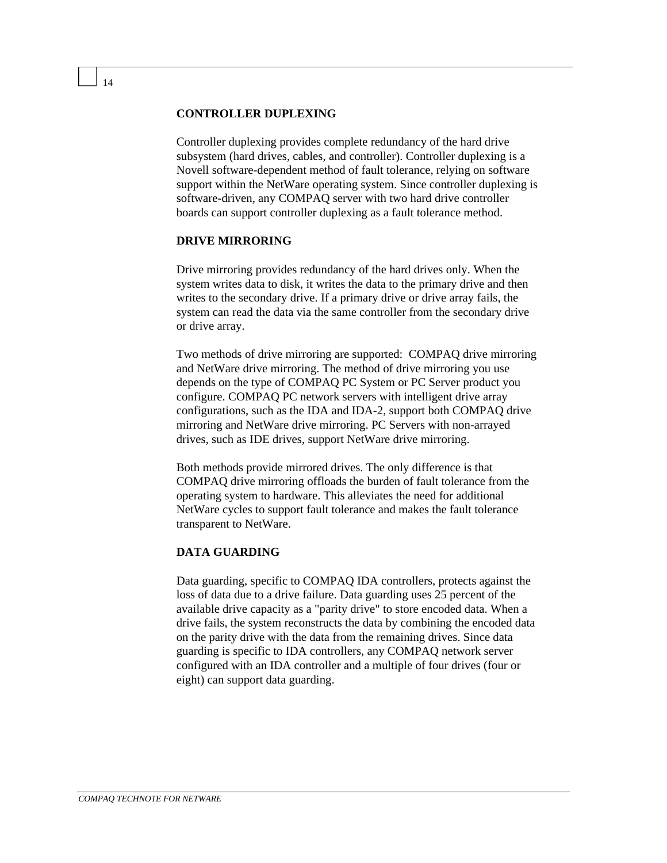#### **CONTROLLER DUPLEXING**

Controller duplexing provides complete redundancy of the hard drive subsystem (hard drives, cables, and controller). Controller duplexing is a Novell software-dependent method of fault tolerance, relying on software support within the NetWare operating system. Since controller duplexing is software-driven, any COMPAQ server with two hard drive controller boards can support controller duplexing as a fault tolerance method.

#### **DRIVE MIRRORING**

Drive mirroring provides redundancy of the hard drives only. When the system writes data to disk, it writes the data to the primary drive and then writes to the secondary drive. If a primary drive or drive array fails, the system can read the data via the same controller from the secondary drive or drive array.

Two methods of drive mirroring are supported: COMPAQ drive mirroring and NetWare drive mirroring. The method of drive mirroring you use depends on the type of COMPAQ PC System or PC Server product you configure. COMPAQ PC network servers with intelligent drive array configurations, such as the IDA and IDA-2, support both COMPAQ drive mirroring and NetWare drive mirroring. PC Servers with non-arrayed drives, such as IDE drives, support NetWare drive mirroring.

Both methods provide mirrored drives. The only difference is that COMPAQ drive mirroring offloads the burden of fault tolerance from the operating system to hardware. This alleviates the need for additional NetWare cycles to support fault tolerance and makes the fault tolerance transparent to NetWare.

#### **DATA GUARDING**

Data guarding, specific to COMPAQ IDA controllers, protects against the loss of data due to a drive failure. Data guarding uses 25 percent of the available drive capacity as a "parity drive" to store encoded data. When a drive fails, the system reconstructs the data by combining the encoded data on the parity drive with the data from the remaining drives. Since data guarding is specific to IDA controllers, any COMPAQ network server configured with an IDA controller and a multiple of four drives (four or eight) can support data guarding.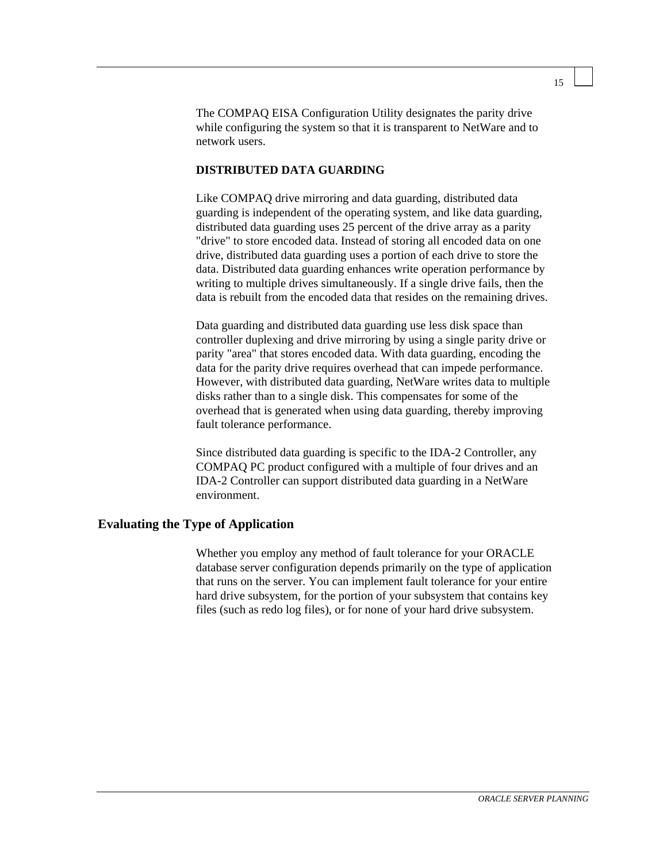The COMPAQ EISA Configuration Utility designates the parity drive while configuring the system so that it is transparent to NetWare and to network users.

#### **DISTRIBUTED DATA GUARDING**

Like COMPAQ drive mirroring and data guarding, distributed data guarding is independent of the operating system, and like data guarding, distributed data guarding uses 25 percent of the drive array as a parity "drive" to store encoded data. Instead of storing all encoded data on one drive, distributed data guarding uses a portion of each drive to store the data. Distributed data guarding enhances write operation performance by writing to multiple drives simultaneously. If a single drive fails, then the data is rebuilt from the encoded data that resides on the remaining drives.

Data guarding and distributed data guarding use less disk space than controller duplexing and drive mirroring by using a single parity drive or parity "area" that stores encoded data. With data guarding, encoding the data for the parity drive requires overhead that can impede performance. However, with distributed data guarding, NetWare writes data to multiple disks rather than to a single disk. This compensates for some of the overhead that is generated when using data guarding, thereby improving fault tolerance performance.

Since distributed data guarding is specific to the IDA-2 Controller, any COMPAQ PC product configured with a multiple of four drives and an IDA-2 Controller can support distributed data guarding in a NetWare environment.

#### **Evaluating the Type of Application**

Whether you employ any method of fault tolerance for your ORACLE database server configuration depends primarily on the type of application that runs on the server. You can implement fault tolerance for your entire hard drive subsystem, for the portion of your subsystem that contains key files (such as redo log files), or for none of your hard drive subsystem.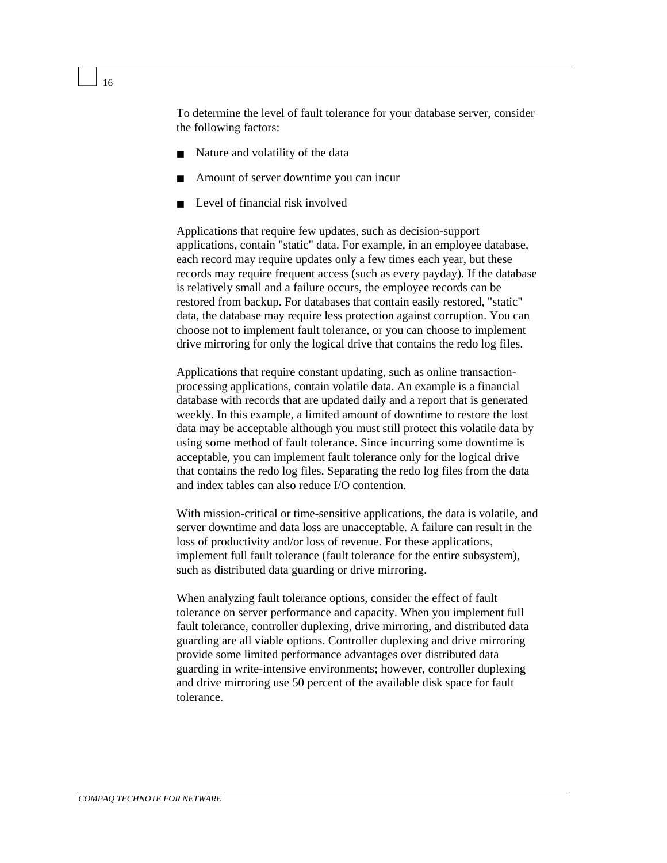To determine the level of fault tolerance for your database server, consider the following factors:

- Nature and volatility of the data
- Amount of server downtime you can incur
- Level of financial risk involved

Applications that require few updates, such as decision-support applications, contain "static" data. For example, in an employee database, each record may require updates only a few times each year, but these records may require frequent access (such as every payday). If the database is relatively small and a failure occurs, the employee records can be restored from backup. For databases that contain easily restored, "static" data, the database may require less protection against corruption. You can choose not to implement fault tolerance, or you can choose to implement drive mirroring for only the logical drive that contains the redo log files.

Applications that require constant updating, such as online transactionprocessing applications, contain volatile data. An example is a financial database with records that are updated daily and a report that is generated weekly. In this example, a limited amount of downtime to restore the lost data may be acceptable although you must still protect this volatile data by using some method of fault tolerance. Since incurring some downtime is acceptable, you can implement fault tolerance only for the logical drive that contains the redo log files. Separating the redo log files from the data and index tables can also reduce I/O contention.

With mission-critical or time-sensitive applications, the data is volatile, and server downtime and data loss are unacceptable. A failure can result in the loss of productivity and/or loss of revenue. For these applications, implement full fault tolerance (fault tolerance for the entire subsystem), such as distributed data guarding or drive mirroring.

When analyzing fault tolerance options, consider the effect of fault tolerance on server performance and capacity. When you implement full fault tolerance, controller duplexing, drive mirroring, and distributed data guarding are all viable options. Controller duplexing and drive mirroring provide some limited performance advantages over distributed data guarding in write-intensive environments; however, controller duplexing and drive mirroring use 50 percent of the available disk space for fault tolerance.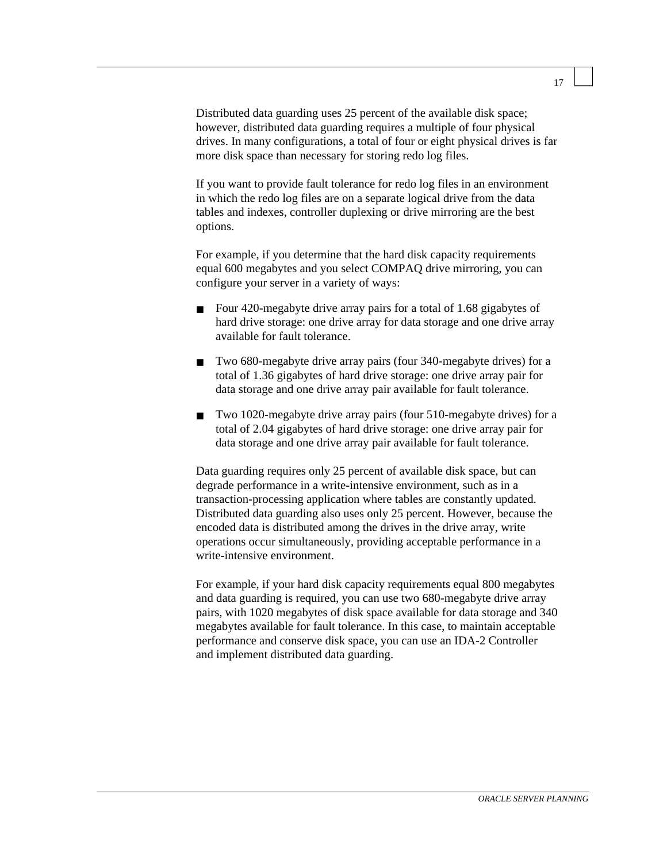Distributed data guarding uses 25 percent of the available disk space; however, distributed data guarding requires a multiple of four physical drives. In many configurations, a total of four or eight physical drives is far more disk space than necessary for storing redo log files.

If you want to provide fault tolerance for redo log files in an environment in which the redo log files are on a separate logical drive from the data tables and indexes, controller duplexing or drive mirroring are the best options.

For example, if you determine that the hard disk capacity requirements equal 600 megabytes and you select COMPAQ drive mirroring, you can configure your server in a variety of ways:

- Four 420-megabyte drive array pairs for a total of 1.68 gigabytes of hard drive storage: one drive array for data storage and one drive array available for fault tolerance.
- Two 680-megabyte drive array pairs (four 340-megabyte drives) for a total of 1.36 gigabytes of hard drive storage: one drive array pair for data storage and one drive array pair available for fault tolerance.
- Two 1020-megabyte drive array pairs (four 510-megabyte drives) for a total of 2.04 gigabytes of hard drive storage: one drive array pair for data storage and one drive array pair available for fault tolerance.

Data guarding requires only 25 percent of available disk space, but can degrade performance in a write-intensive environment, such as in a transaction-processing application where tables are constantly updated. Distributed data guarding also uses only 25 percent. However, because the encoded data is distributed among the drives in the drive array, write operations occur simultaneously, providing acceptable performance in a write-intensive environment.

For example, if your hard disk capacity requirements equal 800 megabytes and data guarding is required, you can use two 680-megabyte drive array pairs, with 1020 megabytes of disk space available for data storage and 340 megabytes available for fault tolerance. In this case, to maintain acceptable performance and conserve disk space, you can use an IDA-2 Controller and implement distributed data guarding.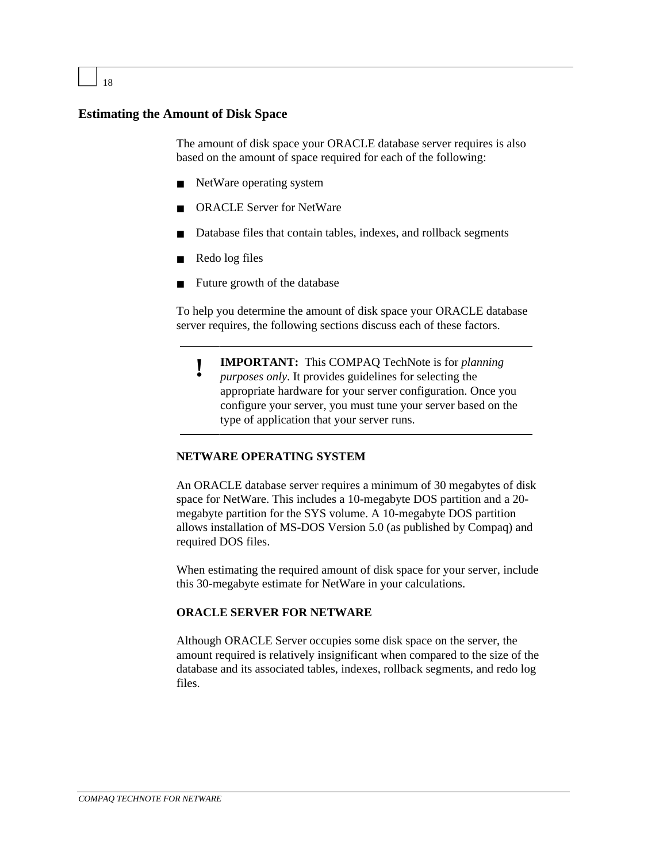#### **Estimating the Amount of Disk Space**

The amount of disk space your ORACLE database server requires is also based on the amount of space required for each of the following:

- NetWare operating system
- ORACLE Server for NetWare
- Database files that contain tables, indexes, and rollback segments
- Redo log files
- Future growth of the database

To help you determine the amount of disk space your ORACLE database server requires, the following sections discuss each of these factors.

**! IMPORTANT:** This COMPAQ TechNote is for *planning purposes only*. It provides guidelines for selecting the appropriate hardware for your server configuration. Once you configure your server, you must tune your server based on the type of application that your server runs.

#### **NETWARE OPERATING SYSTEM**

An ORACLE database server requires a minimum of 30 megabytes of disk space for NetWare. This includes a 10-megabyte DOS partition and a 20 megabyte partition for the SYS volume. A 10-megabyte DOS partition allows installation of MS-DOS Version 5.0 (as published by Compaq) and required DOS files.

When estimating the required amount of disk space for your server, include this 30-megabyte estimate for NetWare in your calculations.

#### **ORACLE SERVER FOR NETWARE**

Although ORACLE Server occupies some disk space on the server, the amount required is relatively insignificant when compared to the size of the database and its associated tables, indexes, rollback segments, and redo log files.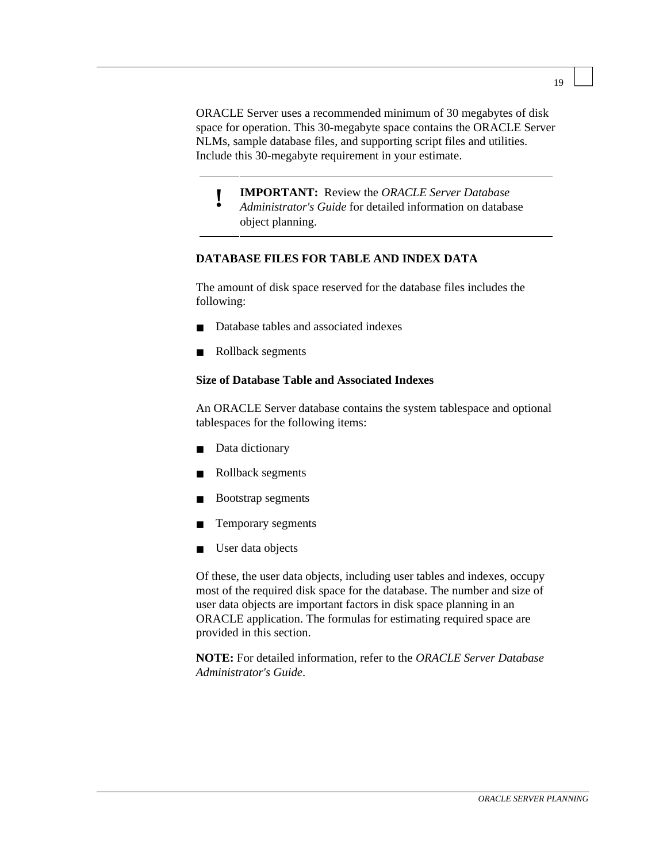ORACLE Server uses a recommended minimum of 30 megabytes of disk space for operation. This 30-megabyte space contains the ORACLE Server NLMs, sample database files, and supporting script files and utilities. Include this 30-megabyte requirement in your estimate.

**! IMPORTANT:** Review the *ORACLE Server Database Administrator's Guide* for detailed information on database object planning.

#### **DATABASE FILES FOR TABLE AND INDEX DATA**

The amount of disk space reserved for the database files includes the following:

- Database tables and associated indexes
- Rollback segments

#### **Size of Database Table and Associated Indexes**

An ORACLE Server database contains the system tablespace and optional tablespaces for the following items:

- Data dictionary
- Rollback segments
- Bootstrap segments
- Temporary segments
- User data objects

Of these, the user data objects, including user tables and indexes, occupy most of the required disk space for the database. The number and size of user data objects are important factors in disk space planning in an ORACLE application. The formulas for estimating required space are provided in this section.

**NOTE:** For detailed information, refer to the *ORACLE Server Database Administrator's Guide*.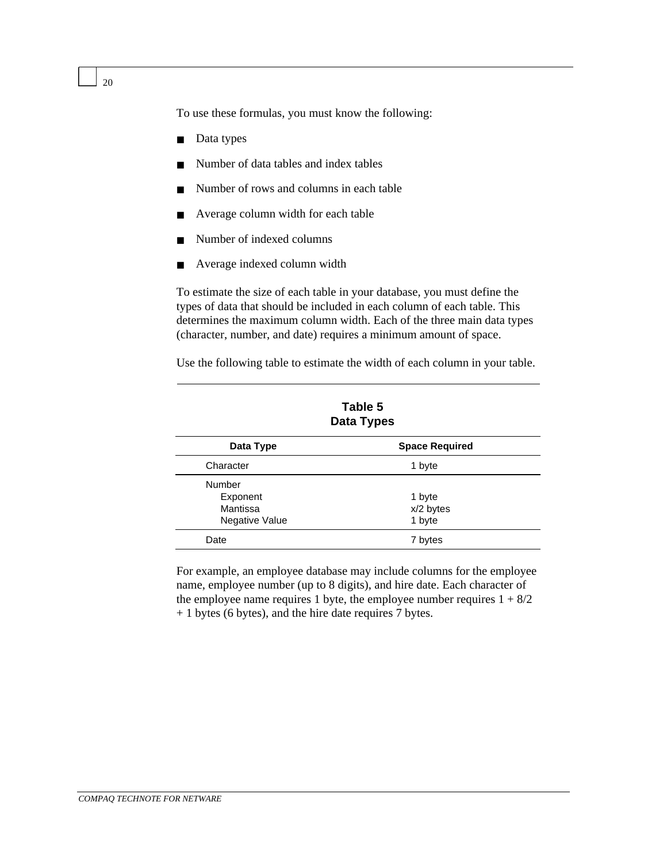To use these formulas, you must know the following:

- Data types
- Number of data tables and index tables
- Number of rows and columns in each table
- Average column width for each table
- Number of indexed columns
- Average indexed column width

To estimate the size of each table in your database, you must define the types of data that should be included in each column of each table. This determines the maximum column width. Each of the three main data types (character, number, and date) requires a minimum amount of space.

Use the following table to estimate the width of each column in your table.

| Table 5<br><b>Data Types</b> |                       |  |
|------------------------------|-----------------------|--|
| Data Type                    | <b>Space Required</b> |  |
| Character                    | 1 byte                |  |
| Number                       |                       |  |
| Exponent                     | 1 byte                |  |
| Mantissa                     | x/2 bytes             |  |
| Negative Value               | 1 byte                |  |
| Date                         | 7 bytes               |  |

For example, an employee database may include columns for the employee name, employee number (up to 8 digits), and hire date. Each character of the employee name requires 1 byte, the employee number requires  $1 + 8/2$ + 1 bytes (6 bytes), and the hire date requires 7 bytes.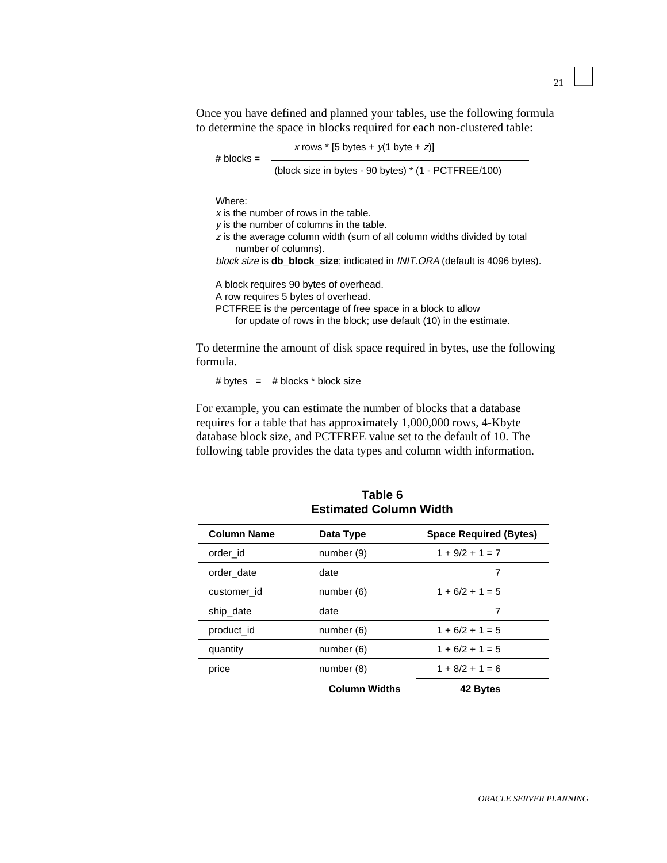Once you have defined and planned your tables, use the following formula to determine the space in blocks required for each non-clustered table:

x rows  $*$  [5 bytes +  $y(1$  byte + z)]

 $#$  blocks  $=$ (block size in bytes - 90 bytes) \* (1 - PCTFREE/100)

Where:

 $x$  is the number of rows in the table. y is the number of columns in the table. <sup>z</sup> is the average column width (sum of all column widths divided by total number of columns). block size is **db\_block\_size**; indicated in INIT.ORA (default is 4096 bytes). A block requires 90 bytes of overhead. A row requires 5 bytes of overhead. PCTFREE is the percentage of free space in a block to allow for update of rows in the block; use default (10) in the estimate.

To determine the amount of disk space required in bytes, use the following formula.

# bytes  $=$  # blocks  $*$  block size

For example, you can estimate the number of blocks that a database requires for a table that has approximately 1,000,000 rows, 4-Kbyte database block size, and PCTFREE value set to the default of 10. The following table provides the data types and column width information.

| ט טושו<br><b>Estimated Column Width</b> |                      |                               |  |
|-----------------------------------------|----------------------|-------------------------------|--|
| <b>Column Name</b>                      | Data Type            | <b>Space Required (Bytes)</b> |  |
| order id                                | number (9)           | $1 + 9/2 + 1 = 7$             |  |
| order date                              | date                 | 7                             |  |
| customer id                             | number (6)           | $1 + 6/2 + 1 = 5$             |  |
| ship_date                               | date                 | 7                             |  |
| product id                              | number (6)           | $1 + 6/2 + 1 = 5$             |  |
| quantity                                | number (6)           | $1 + 6/2 + 1 = 5$             |  |
| price                                   | number (8)           | $1 + 8/2 + 1 = 6$             |  |
|                                         | <b>Column Widths</b> | 42 Bytes                      |  |

**Table 6**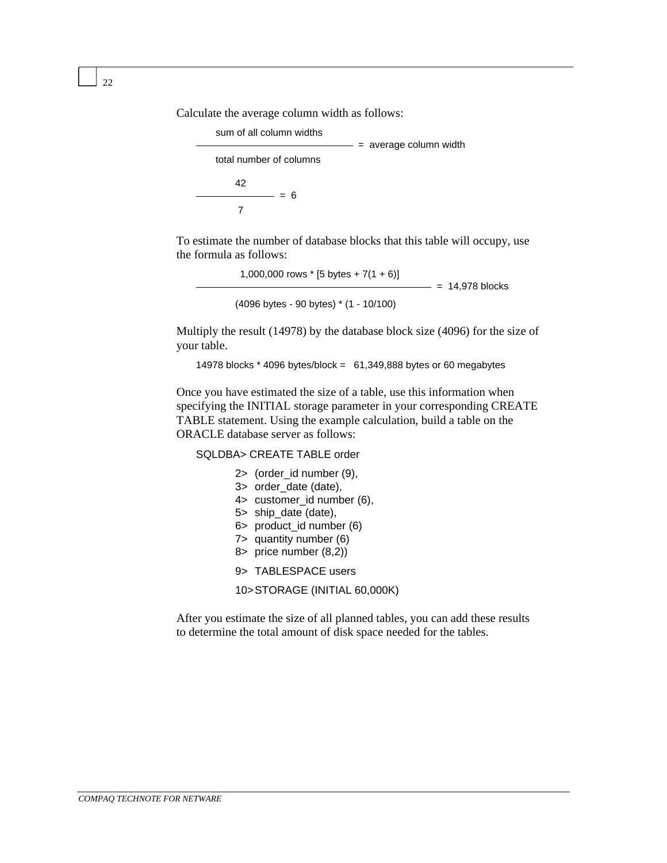Calculate the average column width as follows:



To estimate the number of database blocks that this table will occupy, use the formula as follows:

> 1,000,000 rows  $*$  [5 bytes + 7(1 + 6)]<br>- = 14,978 blocks (4096 bytes - 90 bytes) \* (1 - 10/100)

Multiply the result (14978) by the database block size (4096) for the size of your table.

14978 blocks \* 4096 bytes/block = 61,349,888 bytes or 60 megabytes

Once you have estimated the size of a table, use this information when specifying the INITIAL storage parameter in your corresponding CREATE TABLE statement. Using the example calculation, build a table on the ORACLE database server as follows:

SQLDBA> CREATE TABLE order

2> (order\_id number (9), 3> order\_date (date), 4> customer\_id number (6), 5> ship\_date (date), 6> product\_id number (6) 7> quantity number (6) 8> price number (8,2)) 9> TABLESPACE users 10>STORAGE (INITIAL 60,000K)

After you estimate the size of all planned tables, you can add these results to determine the total amount of disk space needed for the tables.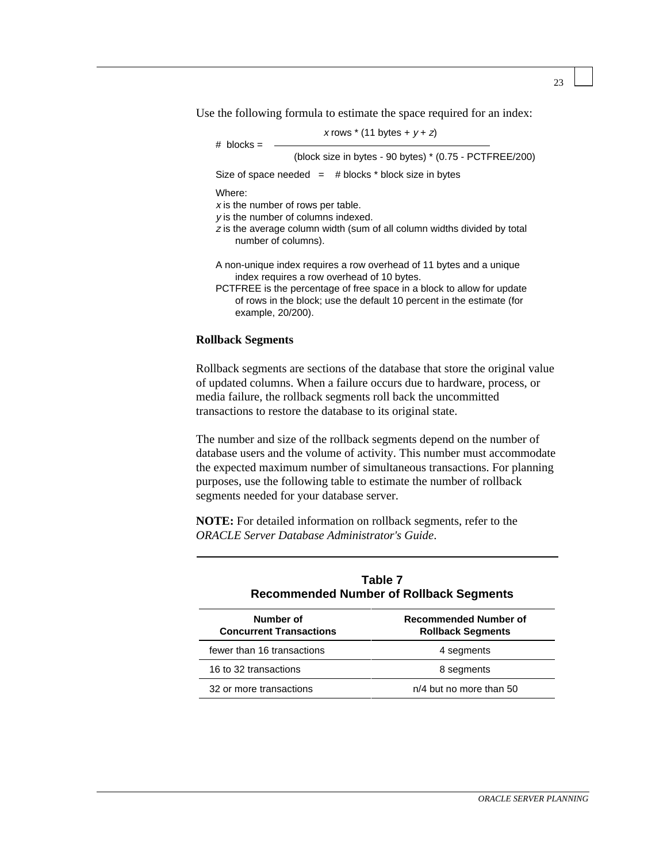Use the following formula to estimate the space required for an index:

| $\#$ blocks =                                                                                                                                                                                                                                                                             | x rows $*(11 \text{ bytes} + y + z)$                    |  |  |
|-------------------------------------------------------------------------------------------------------------------------------------------------------------------------------------------------------------------------------------------------------------------------------------------|---------------------------------------------------------|--|--|
|                                                                                                                                                                                                                                                                                           | (block size in bytes - 90 bytes) * (0.75 - PCTFREE/200) |  |  |
| Size of space needed $=$ # blocks * block size in bytes                                                                                                                                                                                                                                   |                                                         |  |  |
| Where:<br>x is the number of rows per table.<br>$\nu$ is the number of columns indexed.<br>z is the average column width (sum of all column widths divided by total<br>number of columns).                                                                                                |                                                         |  |  |
| A non-unique index requires a row overhead of 11 bytes and a unique<br>index requires a row overhead of 10 bytes.<br>PCTFREE is the percentage of free space in a block to allow for update<br>of rows in the block; use the default 10 percent in the estimate (for<br>example, 20/200). |                                                         |  |  |

#### **Rollback Segments**

Rollback segments are sections of the database that store the original value of updated columns. When a failure occurs due to hardware, process, or media failure, the rollback segments roll back the uncommitted transactions to restore the database to its original state.

The number and size of the rollback segments depend on the number of database users and the volume of activity. This number must accommodate the expected maximum number of simultaneous transactions. For planning purposes, use the following table to estimate the number of rollback segments needed for your database server.

**NOTE:** For detailed information on rollback segments, refer to the *ORACLE Server Database Administrator's Guide*.

| Table 7<br><b>Recommended Number of Rollback Segments</b> |                                                   |  |
|-----------------------------------------------------------|---------------------------------------------------|--|
| Number of<br><b>Concurrent Transactions</b>               | Recommended Number of<br><b>Rollback Segments</b> |  |
| fewer than 16 transactions                                | 4 segments                                        |  |
| 16 to 32 transactions                                     | 8 segments                                        |  |
| 32 or more transactions                                   | n/4 but no more than 50                           |  |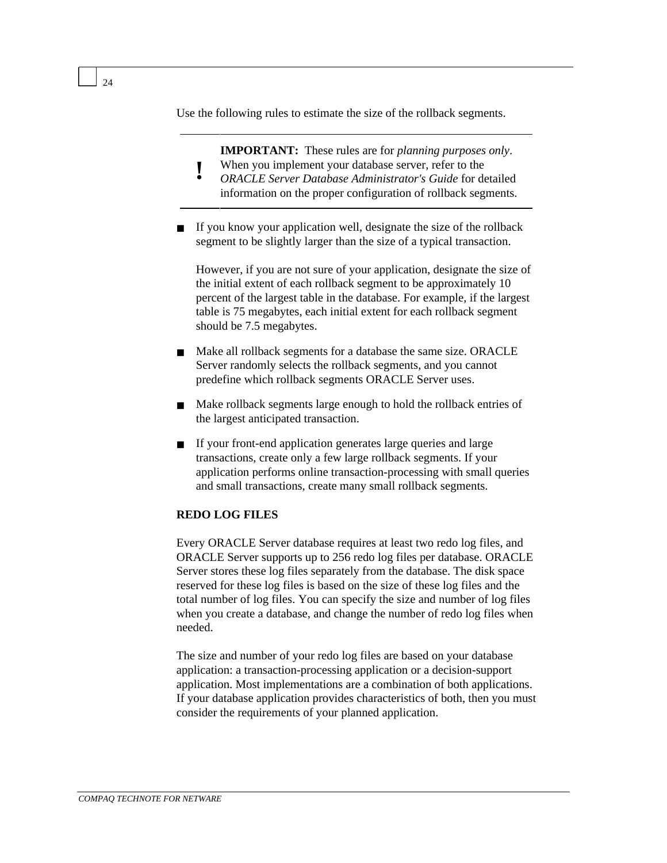Use the following rules to estimate the size of the rollback segments.

**IMPORTANT:** These rules are for *planning purposes only*.

- **!** When you implement your database server, refer to the
- *ORACLE Server Database Administrator's Guide* for detailed information on the proper configuration of rollback segments.
- If you know your application well, designate the size of the rollback segment to be slightly larger than the size of a typical transaction.

However, if you are not sure of your application, designate the size of the initial extent of each rollback segment to be approximately 10 percent of the largest table in the database. For example, if the largest table is 75 megabytes, each initial extent for each rollback segment should be 7.5 megabytes.

- Make all rollback segments for a database the same size. ORACLE Server randomly selects the rollback segments, and you cannot predefine which rollback segments ORACLE Server uses.
- Make rollback segments large enough to hold the rollback entries of the largest anticipated transaction.
- If your front-end application generates large queries and large transactions, create only a few large rollback segments. If your application performs online transaction-processing with small queries and small transactions, create many small rollback segments.

#### **REDO LOG FILES**

Every ORACLE Server database requires at least two redo log files, and ORACLE Server supports up to 256 redo log files per database. ORACLE Server stores these log files separately from the database. The disk space reserved for these log files is based on the size of these log files and the total number of log files. You can specify the size and number of log files when you create a database, and change the number of redo log files when needed.

The size and number of your redo log files are based on your database application: a transaction-processing application or a decision-support application. Most implementations are a combination of both applications. If your database application provides characteristics of both, then you must consider the requirements of your planned application.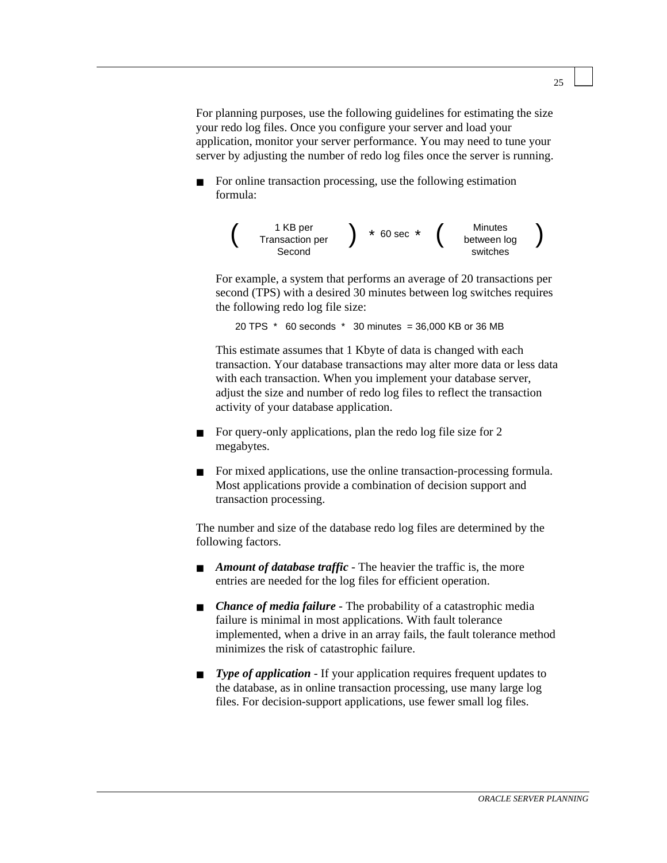For planning purposes, use the following guidelines for estimating the size your redo log files. Once you configure your server and load your application, monitor your server performance. You may need to tune your server by adjusting the number of redo log files once the server is running.

For online transaction processing, use the following estimation formula:



For example, a system that performs an average of 20 transactions per second (TPS) with a desired 30 minutes between log switches requires the following redo log file size:

20 TPS \* 60 seconds \* 30 minutes = 36,000 KB or 36 MB

This estimate assumes that 1 Kbyte of data is changed with each transaction. Your database transactions may alter more data or less data with each transaction. When you implement your database server, adjust the size and number of redo log files to reflect the transaction activity of your database application.

- For query-only applications, plan the redo log file size for 2 megabytes.
- For mixed applications, use the online transaction-processing formula. Most applications provide a combination of decision support and transaction processing.

The number and size of the database redo log files are determined by the following factors.

- *Amount of database traffic* The heavier the traffic is, the more entries are needed for the log files for efficient operation.
- *Chance of media failure* The probability of a catastrophic media failure is minimal in most applications. With fault tolerance implemented, when a drive in an array fails, the fault tolerance method minimizes the risk of catastrophic failure.
- *Type of application* If your application requires frequent updates to the database, as in online transaction processing, use many large log files. For decision-support applications, use fewer small log files.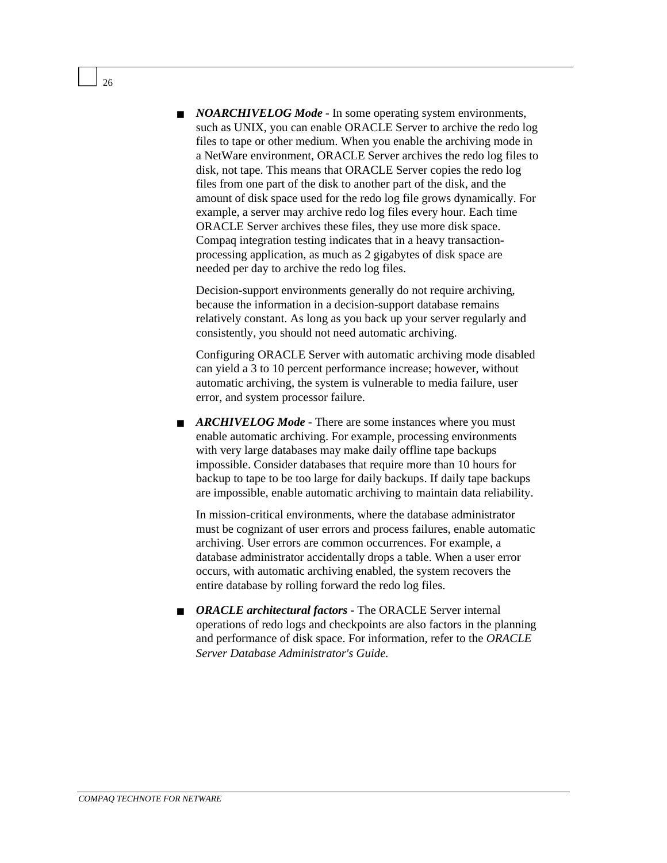■ *NOARCHIVELOG Mode* - In some operating system environments, such as UNIX, you can enable ORACLE Server to archive the redo log files to tape or other medium. When you enable the archiving mode in a NetWare environment, ORACLE Server archives the redo log files to disk, not tape. This means that ORACLE Server copies the redo log files from one part of the disk to another part of the disk, and the amount of disk space used for the redo log file grows dynamically. For example, a server may archive redo log files every hour. Each time ORACLE Server archives these files, they use more disk space. Compaq integration testing indicates that in a heavy transactionprocessing application, as much as 2 gigabytes of disk space are needed per day to archive the redo log files.

Decision-support environments generally do not require archiving, because the information in a decision-support database remains relatively constant. As long as you back up your server regularly and consistently, you should not need automatic archiving.

Configuring ORACLE Server with automatic archiving mode disabled can yield a 3 to 10 percent performance increase; however, without automatic archiving, the system is vulnerable to media failure, user error, and system processor failure.

■ *ARCHIVELOG Mode* - There are some instances where you must enable automatic archiving. For example, processing environments with very large databases may make daily offline tape backups impossible. Consider databases that require more than 10 hours for backup to tape to be too large for daily backups. If daily tape backups are impossible, enable automatic archiving to maintain data reliability.

In mission-critical environments, where the database administrator must be cognizant of user errors and process failures, enable automatic archiving. User errors are common occurrences. For example, a database administrator accidentally drops a table. When a user error occurs, with automatic archiving enabled, the system recovers the entire database by rolling forward the redo log files.

■ *ORACLE architectural factors* - The ORACLE Server internal operations of redo logs and checkpoints are also factors in the planning and performance of disk space. For information, refer to the *ORACLE Server Database Administrator's Guide*.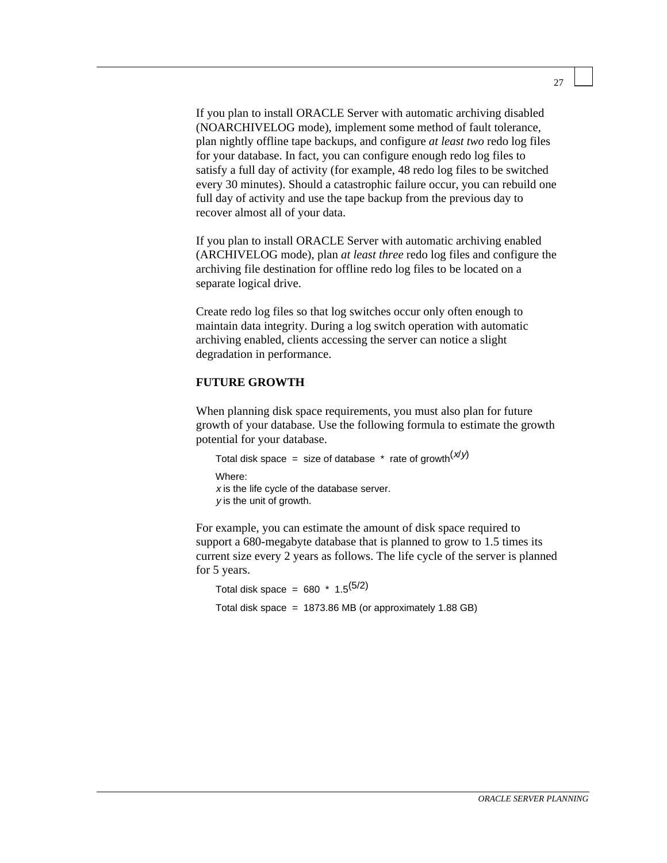If you plan to install ORACLE Server with automatic archiving disabled (NOARCHIVELOG mode), implement some method of fault tolerance, plan nightly offline tape backups, and configure *at least two* redo log files for your database. In fact, you can configure enough redo log files to satisfy a full day of activity (for example, 48 redo log files to be switched every 30 minutes). Should a catastrophic failure occur, you can rebuild one full day of activity and use the tape backup from the previous day to recover almost all of your data.

If you plan to install ORACLE Server with automatic archiving enabled (ARCHIVELOG mode), plan *at least three* redo log files and configure the archiving file destination for offline redo log files to be located on a separate logical drive.

Create redo log files so that log switches occur only often enough to maintain data integrity. During a log switch operation with automatic archiving enabled, clients accessing the server can notice a slight degradation in performance.

#### **FUTURE GROWTH**

When planning disk space requirements, you must also plan for future growth of your database. Use the following formula to estimate the growth potential for your database.

```
Total disk space = size of database * rate of growth(x/y)Where:
x is the life cycle of the database server.
y is the unit of growth.
```
For example, you can estimate the amount of disk space required to support a 680-megabyte database that is planned to grow to 1.5 times its current size every 2 years as follows. The life cycle of the server is planned for 5 years.

Total disk space =  $680 * 1.5^{(5/2)}$ Total disk space =  $1873.86 \text{ MB}$  (or approximately 1.88 GB)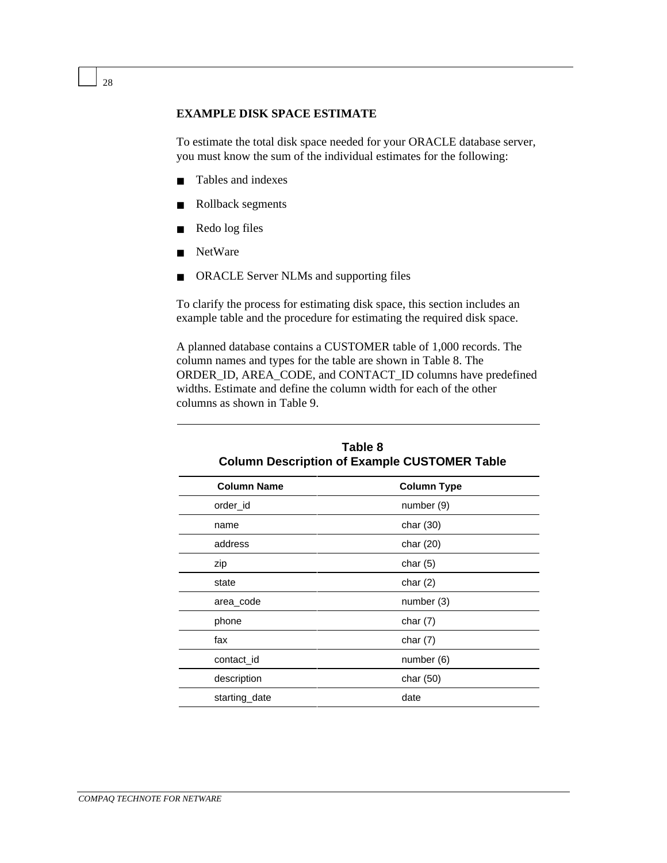#### **EXAMPLE DISK SPACE ESTIMATE**

To estimate the total disk space needed for your ORACLE database server, you must know the sum of the individual estimates for the following:

- Tables and indexes
- Rollback segments
- Redo log files
- NetWare
- ORACLE Server NLMs and supporting files

To clarify the process for estimating disk space, this section includes an example table and the procedure for estimating the required disk space.

A planned database contains a CUSTOMER table of 1,000 records. The column names and types for the table are shown in Table 8. The ORDER\_ID, AREA\_CODE, and CONTACT\_ID columns have predefined widths. Estimate and define the column width for each of the other columns as shown in Table 9.

| <b>OURING DUSTIPHON OF EXAMPLE OUD FOREIX TADIC</b> |                    |  |
|-----------------------------------------------------|--------------------|--|
| <b>Column Name</b>                                  | <b>Column Type</b> |  |
| order_id                                            | number (9)         |  |
| name                                                | char $(30)$        |  |
| address                                             | char (20)          |  |
| zip                                                 | char $(5)$         |  |
| state                                               | char $(2)$         |  |
| area_code                                           | number (3)         |  |
| phone                                               | char $(7)$         |  |
| fax                                                 | char $(7)$         |  |
| contact_id                                          | number (6)         |  |
| description                                         | char (50)          |  |
| starting_date                                       | date               |  |
|                                                     |                    |  |

| Table 8                                             |
|-----------------------------------------------------|
| <b>Column Description of Example CUSTOMER Table</b> |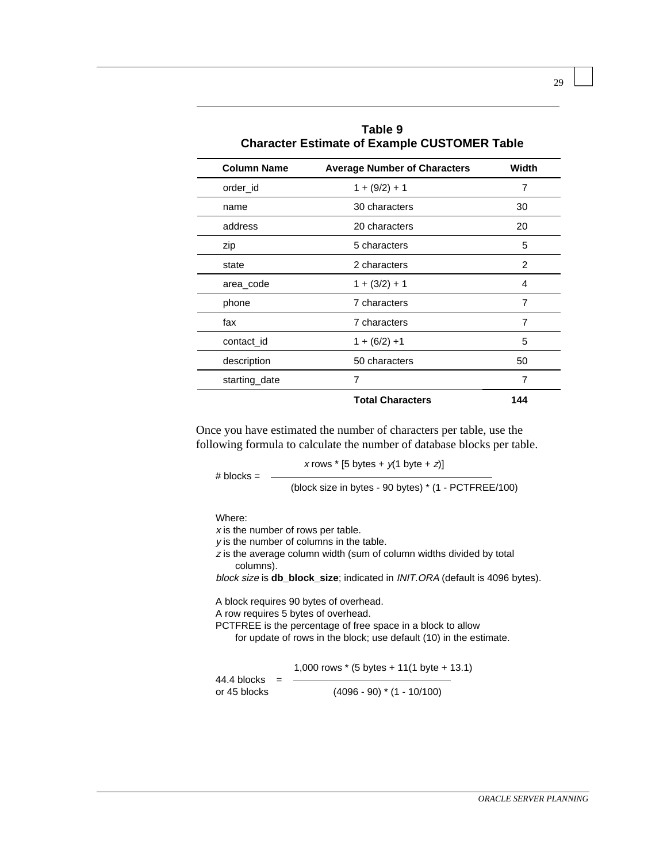| <b>Character Estimate of Example CUSTOMER Table</b> |                                     |       |
|-----------------------------------------------------|-------------------------------------|-------|
| <b>Column Name</b>                                  | <b>Average Number of Characters</b> | Width |
| order id                                            | $1 + (9/2) + 1$                     | 7     |
| name                                                | 30 characters                       | 30    |
| address                                             | 20 characters                       | 20    |
| zip                                                 | 5 characters                        | 5     |
| state                                               | 2 characters                        | 2     |
| area_code                                           | $1 + (3/2) + 1$                     | 4     |
| phone                                               | 7 characters                        | 7     |
| fax                                                 | 7 characters                        | 7     |
| contact_id                                          | $1 + (6/2) + 1$                     | 5     |
| description                                         | 50 characters                       | 50    |
| starting_date                                       | 7                                   | 7     |
|                                                     | <b>Total Characters</b>             | 144   |

**Table 9**

Once you have estimated the number of characters per table, use the following formula to calculate the number of database blocks per table.

x rows  $*$  [5 bytes +  $y(1$  byte + z)]  $# blocks = -$ (block size in bytes - 90 bytes) \* (1 - PCTFREE/100)

Where:

 $x$  is the number of rows per table.

y is the number of columns in the table.

<sup>z</sup> is the average column width (sum of column widths divided by total columns).

block size is **db\_block\_size**; indicated in INIT.ORA (default is 4096 bytes).

A block requires 90 bytes of overhead.

A row requires 5 bytes of overhead.

PCTFREE is the percentage of free space in a block to allow

for update of rows in the block; use default (10) in the estimate.

1,000 rows \* (5 bytes + 11(1 byte + 13.1)

 $44.4$  blocks  $=$ or 45 blocks (4096 - 90) \* (1 - 10/100)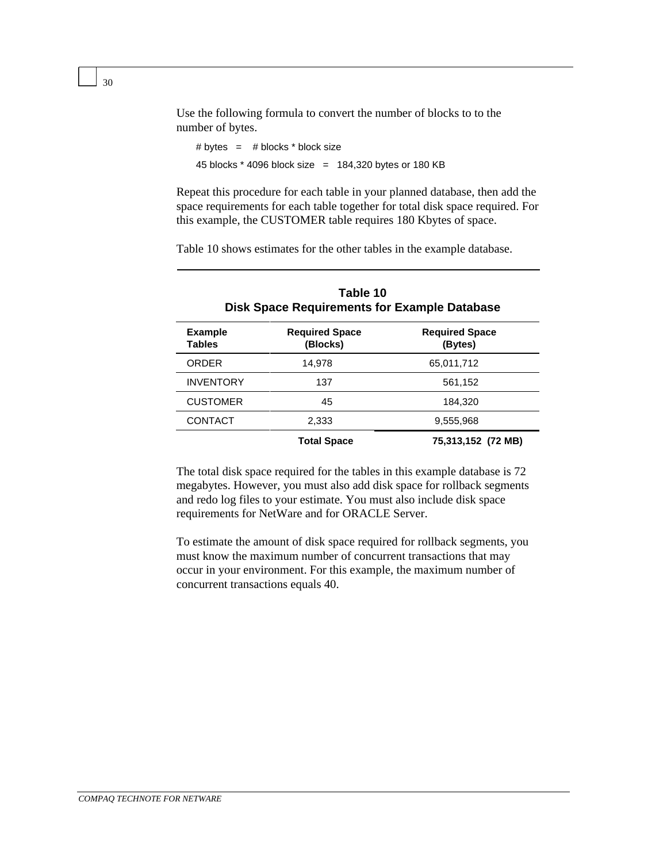Use the following formula to convert the number of blocks to to the number of bytes.

```
# bytes = # blocks * block size45 blocks * 4096 block size = 184,320 bytes or 180 KB
```
Repeat this procedure for each table in your planned database, then add the space requirements for each table together for total disk space required. For this example, the CUSTOMER table requires 180 Kbytes of space.

Table 10 shows estimates for the other tables in the example database.

| Table 10<br><b>Disk Space Requirements for Example Database</b> |                                   |                                  |  |
|-----------------------------------------------------------------|-----------------------------------|----------------------------------|--|
| <b>Example</b><br><b>Tables</b>                                 | <b>Required Space</b><br>(Blocks) | <b>Required Space</b><br>(Bytes) |  |
| <b>ORDER</b>                                                    | 14.978                            | 65.011.712                       |  |
| <b>INVENTORY</b>                                                | 137                               | 561,152                          |  |
| <b>CUSTOMER</b>                                                 | 45                                | 184.320                          |  |
| CONTACT                                                         | 2,333                             | 9,555,968                        |  |
|                                                                 | <b>Total Space</b>                | 75,313,152 (72 MB)               |  |

The total disk space required for the tables in this example database is 72 megabytes. However, you must also add disk space for rollback segments and redo log files to your estimate. You must also include disk space requirements for NetWare and for ORACLE Server.

To estimate the amount of disk space required for rollback segments, you must know the maximum number of concurrent transactions that may occur in your environment. For this example, the maximum number of concurrent transactions equals 40.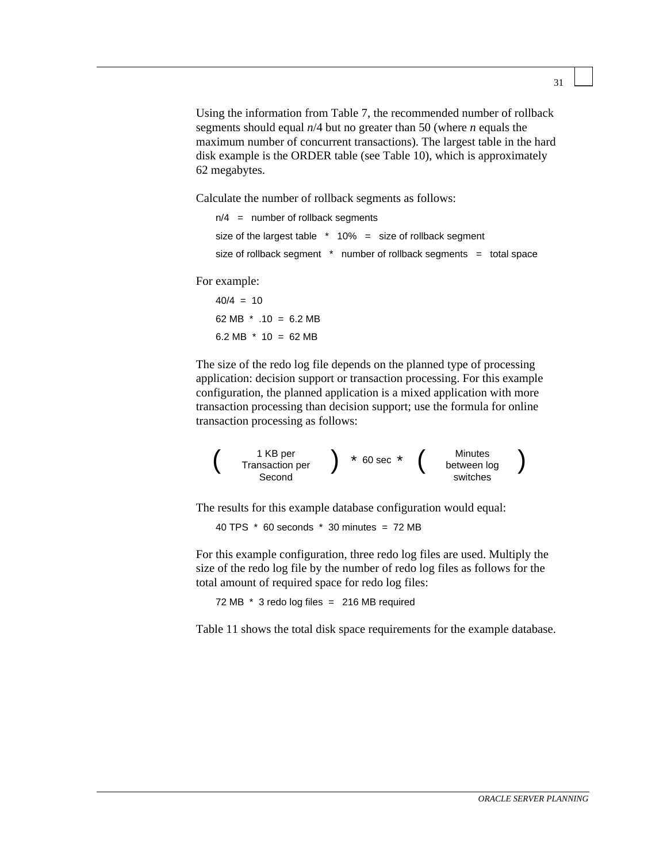Using the information from Table 7, the recommended number of rollback segments should equal *n*/4 but no greater than 50 (where *n* equals the maximum number of concurrent transactions). The largest table in the hard disk example is the ORDER table (see Table 10), which is approximately 62 megabytes.

Calculate the number of rollback segments as follows:

```
n/4 = number of rollback segments
size of the largest table * 10% = size of rollback segment
size of rollback segment * number of rollback segments = total space
```
For example:

 $40/4 = 10$ 62 MB  $*$  .10 = 6.2 MB 6.2 MB  $*$  10 = 62 MB

The size of the redo log file depends on the planned type of processing application: decision support or transaction processing. For this example configuration, the planned application is a mixed application with more transaction processing than decision support; use the formula for online transaction processing as follows:

$$
\left(\begin{array}{c}1 \text{ KB per} \\ \text{Transaction per} \\ \text{Second}\end{array}\right) \begin{array}{l} \star \text{ 60 sec } \star \\ \begin{array}{c} \text{Minutes} \\ \text{between log} \\ \text{switches}\end{array}\end{array}\right)
$$

The results for this example database configuration would equal:

40 TPS  $*$  60 seconds  $*$  30 minutes = 72 MB

For this example configuration, three redo log files are used. Multiply the size of the redo log file by the number of redo log files as follows for the total amount of required space for redo log files:

72 MB \* 3 redo log files = 216 MB required

Table 11 shows the total disk space requirements for the example database.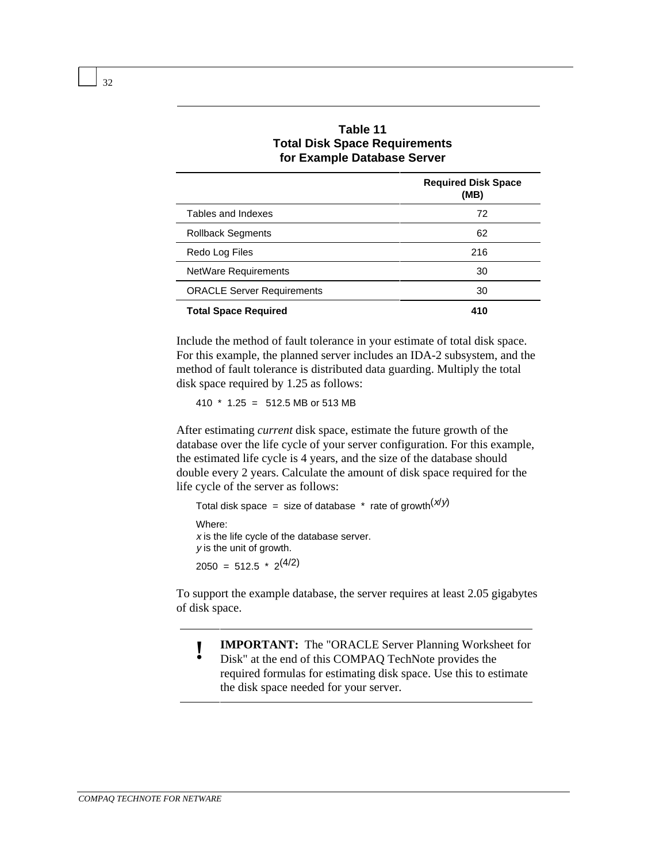|                                   | <b>Required Disk Space</b><br>(MB) |
|-----------------------------------|------------------------------------|
| Tables and Indexes                | 72                                 |
| <b>Rollback Segments</b>          | 62                                 |
| Redo Log Files                    | 216                                |
| <b>NetWare Requirements</b>       | 30                                 |
| <b>ORACLE Server Requirements</b> |                                    |
| <b>Total Space Required</b>       | 410                                |

#### **Table 11 Total Disk Space Requirements for Example Database Server**

Include the method of fault tolerance in your estimate of total disk space. For this example, the planned server includes an IDA-2 subsystem, and the method of fault tolerance is distributed data guarding. Multiply the total disk space required by 1.25 as follows:

410 \* 1.25 = 512.5 MB or 513 MB

After estimating *current* disk space, estimate the future growth of the database over the life cycle of your server configuration. For this example, the estimated life cycle is 4 years, and the size of the database should double every 2 years. Calculate the amount of disk space required for the life cycle of the server as follows:

```
Total disk space = size of database * rate of growth(x/y)Where:
x is the life cycle of the database server.
y is the unit of growth.
2050 = 512.5 * 2^{(4/2)}
```
To support the example database, the server requires at least 2.05 gigabytes of disk space.

- **! IMPORTANT:** The "ORACLE Server Planning Worksheet for<br>Disk" at the and of this COMPAO TechNete provides the
- Disk" at the end of this COMPAQ TechNote provides the required formulas for estimating disk space. Use this to estimate the disk space needed for your server.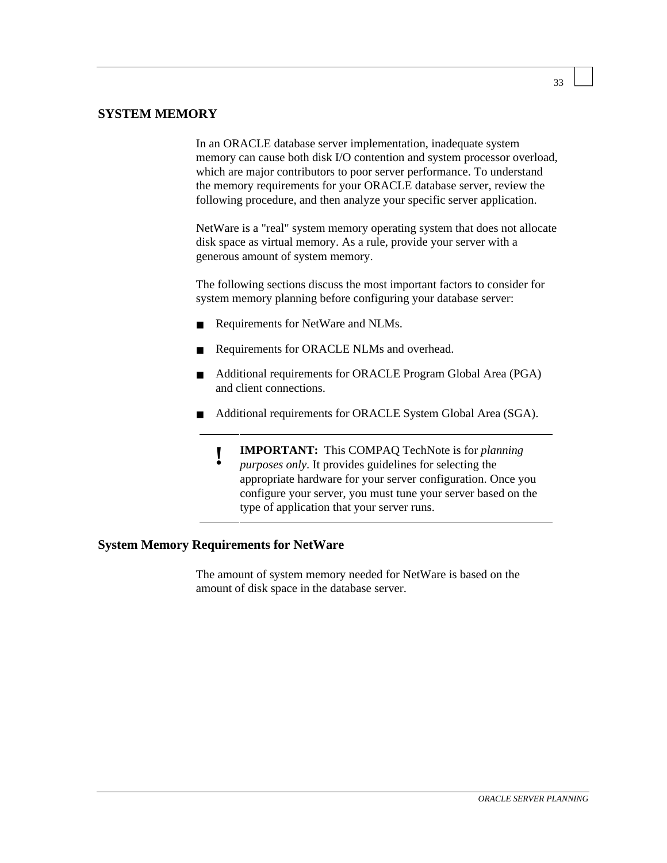#### **SYSTEM MEMORY**

In an ORACLE database server implementation, inadequate system memory can cause both disk I/O contention and system processor overload, which are major contributors to poor server performance. To understand the memory requirements for your ORACLE database server, review the following procedure, and then analyze your specific server application.

NetWare is a "real" system memory operating system that does not allocate disk space as virtual memory. As a rule, provide your server with a generous amount of system memory.

The following sections discuss the most important factors to consider for system memory planning before configuring your database server:

- Requirements for NetWare and NLMs.
- Requirements for ORACLE NLMs and overhead.
- Additional requirements for ORACLE Program Global Area (PGA) and client connections.
- Additional requirements for ORACLE System Global Area (SGA).
	- **! IMPORTANT:** This COMPAQ TechNote is for *planning purposes only*. It provides guidelines for selecting the appropriate hardware for your server configuration. Once you configure your server, you must tune your server based on the type of application that your server runs.

#### **System Memory Requirements for NetWare**

The amount of system memory needed for NetWare is based on the amount of disk space in the database server.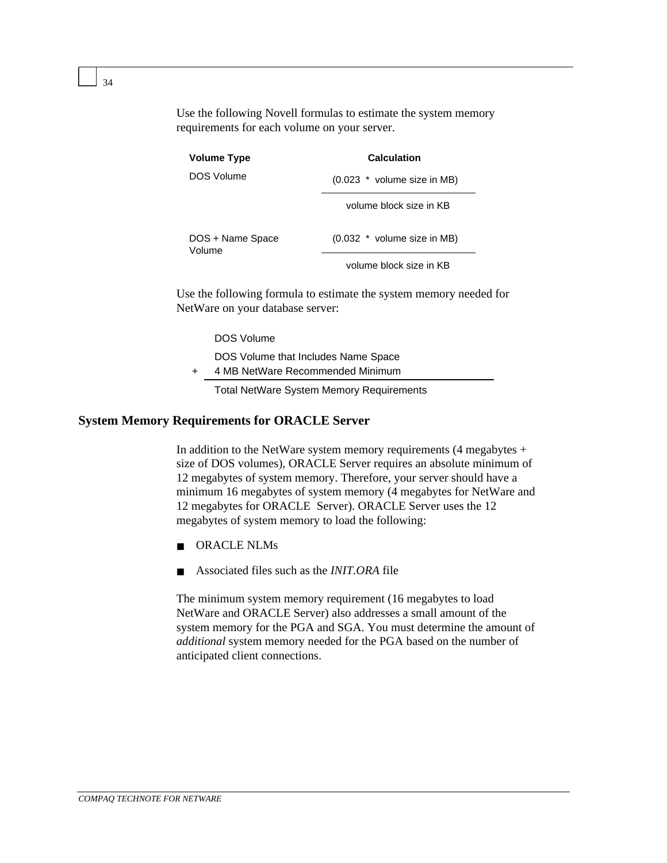Use the following Novell formulas to estimate the system memory requirements for each volume on your server.

| <b>Volume Type</b>         | <b>Calculation</b>            |  |
|----------------------------|-------------------------------|--|
| DOS Volume                 | $(0.023$ * volume size in MB) |  |
|                            | volume block size in KB       |  |
| DOS + Name Space<br>Volume | (0.032 * volume size in MB)   |  |
|                            | volume block size in KB       |  |

Use the following formula to estimate the system memory needed for NetWare on your database server:

DOS Volume

- DOS Volume that Includes Name Space
- 4 MB NetWare Recommended Minimum

Total NetWare System Memory Requirements

#### **System Memory Requirements for ORACLE Server**

In addition to the NetWare system memory requirements  $(4 \text{ megabytes} +$ size of DOS volumes), ORACLE Server requires an absolute minimum of 12 megabytes of system memory. Therefore, your server should have a minimum 16 megabytes of system memory (4 megabytes for NetWare and 12 megabytes for ORACLE Server). ORACLE Server uses the 12 megabytes of system memory to load the following:

- ORACLE NLMs
- Associated files such as the *INIT.ORA* file

The minimum system memory requirement (16 megabytes to load NetWare and ORACLE Server) also addresses a small amount of the system memory for the PGA and SGA. You must determine the amount of *additional* system memory needed for the PGA based on the number of anticipated client connections.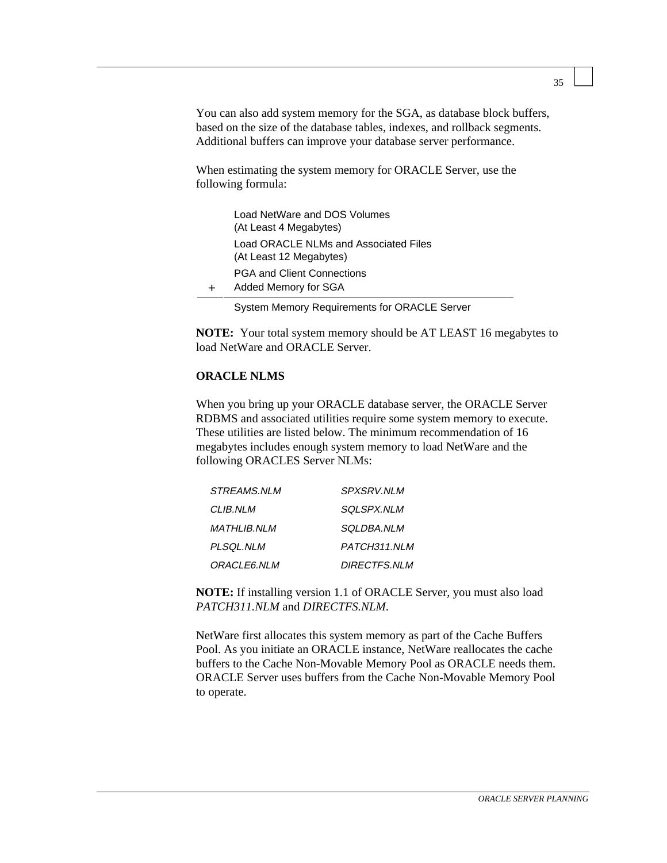You can also add system memory for the SGA, as database block buffers, based on the size of the database tables, indexes, and rollback segments. Additional buffers can improve your database server performance.

When estimating the system memory for ORACLE Server, use the following formula:

| Load NetWare and DOS Volumes<br>(At Least 4 Megabytes)           |
|------------------------------------------------------------------|
| Load ORACLE NLMs and Associated Files<br>(At Least 12 Megabytes) |
| PGA and Client Connections<br>Added Memory for SGA               |
|                                                                  |

System Memory Requirements for ORACLE Server

**NOTE:** Your total system memory should be AT LEAST 16 megabytes to load NetWare and ORACLE Server.

#### **ORACLE NLMS**

When you bring up your ORACLE database server, the ORACLE Server RDBMS and associated utilities require some system memory to execute. These utilities are listed below. The minimum recommendation of 16 megabytes includes enough system memory to load NetWare and the following ORACLES Server NLMs:

| <i>STREAMS.NLM</i> | <i>SPXSRV.NLM</i>   |
|--------------------|---------------------|
| CLIB.NLM           | SOLSPX.NLM          |
| MATHLIB.NLM        | <i>SOLDBA.NLM</i>   |
| PLSQL.NLM          | PATCH311.NLM        |
| <i>ORACLE6.NLM</i> | <b>DIRECTFS.NLM</b> |

**NOTE:** If installing version 1.1 of ORACLE Server, you must also load *PATCH311.NLM* and *DIRECTFS.NLM*.

NetWare first allocates this system memory as part of the Cache Buffers Pool. As you initiate an ORACLE instance, NetWare reallocates the cache buffers to the Cache Non-Movable Memory Pool as ORACLE needs them. ORACLE Server uses buffers from the Cache Non-Movable Memory Pool to operate.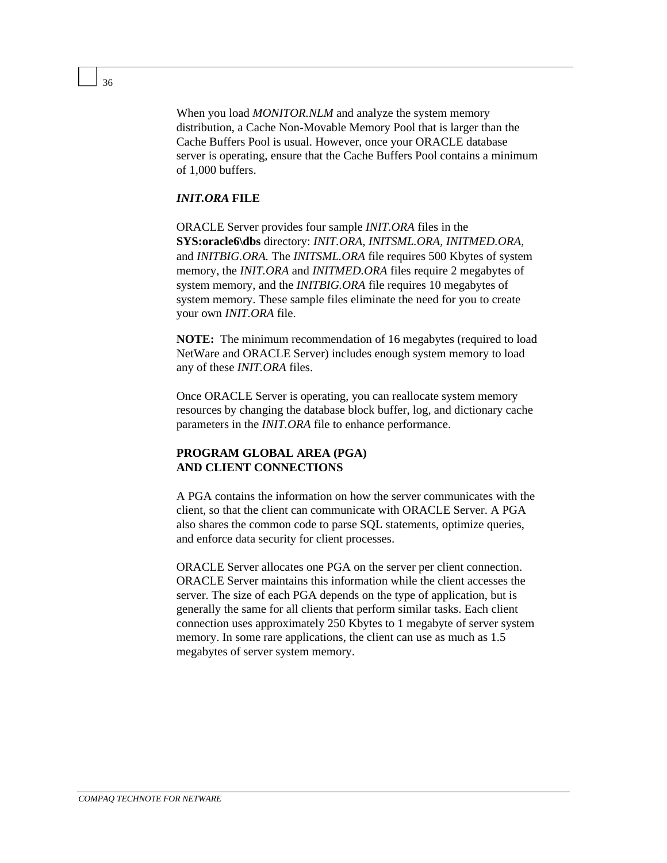When you load *MONITOR.NLM* and analyze the system memory distribution, a Cache Non-Movable Memory Pool that is larger than the Cache Buffers Pool is usual. However, once your ORACLE database server is operating, ensure that the Cache Buffers Pool contains a minimum of 1,000 buffers.

#### *INIT.ORA* **FILE**

ORACLE Server provides four sample *INIT.ORA* files in the **SYS:oracle6\dbs** directory: *INIT.ORA, INITSML.ORA, INITMED.ORA,* and *INITBIG.ORA.* The *INITSML.ORA* file requires 500 Kbytes of system memory, the *INIT.ORA* and *INITMED.ORA* files require 2 megabytes of system memory, and the *INITBIG.ORA* file requires 10 megabytes of system memory. These sample files eliminate the need for you to create your own *INIT.ORA* file.

**NOTE:** The minimum recommendation of 16 megabytes (required to load NetWare and ORACLE Server) includes enough system memory to load any of these *INIT.ORA* files.

Once ORACLE Server is operating, you can reallocate system memory resources by changing the database block buffer, log, and dictionary cache parameters in the *INIT.ORA* file to enhance performance.

#### **PROGRAM GLOBAL AREA (PGA) AND CLIENT CONNECTIONS**

A PGA contains the information on how the server communicates with the client, so that the client can communicate with ORACLE Server. A PGA also shares the common code to parse SQL statements, optimize queries, and enforce data security for client processes.

ORACLE Server allocates one PGA on the server per client connection. ORACLE Server maintains this information while the client accesses the server. The size of each PGA depends on the type of application, but is generally the same for all clients that perform similar tasks. Each client connection uses approximately 250 Kbytes to 1 megabyte of server system memory. In some rare applications, the client can use as much as  $1.5$ megabytes of server system memory.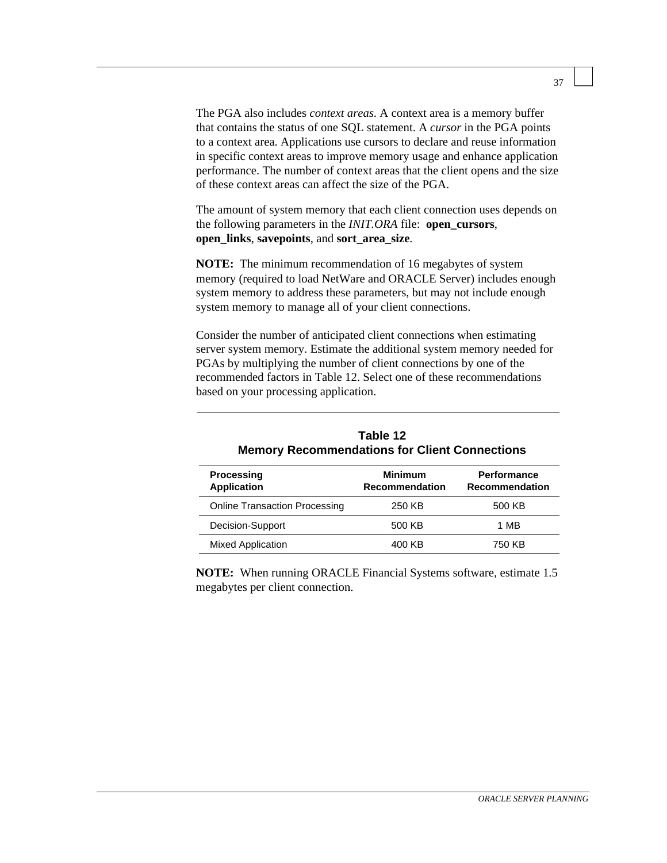The PGA also includes *context areas*. A context area is a memory buffer that contains the status of one SQL statement. A *cursor* in the PGA points to a context area. Applications use cursors to declare and reuse information in specific context areas to improve memory usage and enhance application performance. The number of context areas that the client opens and the size of these context areas can affect the size of the PGA.

The amount of system memory that each client connection uses depends on the following parameters in the *INIT.ORA* file: **open\_cursors**, **open\_links**, **savepoints**, and **sort\_area\_size**.

**NOTE:** The minimum recommendation of 16 megabytes of system memory (required to load NetWare and ORACLE Server) includes enough system memory to address these parameters, but may not include enough system memory to manage all of your client connections.

Consider the number of anticipated client connections when estimating server system memory. Estimate the additional system memory needed for PGAs by multiplying the number of client connections by one of the recommended factors in Table 12. Select one of these recommendations based on your processing application.

| TADIE TZ<br><b>Memory Recommendations for Client Connections</b> |                                         |                                             |  |
|------------------------------------------------------------------|-----------------------------------------|---------------------------------------------|--|
| <b>Processing</b><br><b>Application</b>                          | <b>Minimum</b><br><b>Recommendation</b> | <b>Performance</b><br><b>Recommendation</b> |  |
| <b>Online Transaction Processing</b>                             | 250 KB                                  | 500 KB                                      |  |
| Decision-Support                                                 | 500 KB                                  | 1 MB                                        |  |
| <b>Mixed Application</b>                                         | 400 KB                                  | 750 KB                                      |  |

| Table 12                                             |
|------------------------------------------------------|
| <b>Memory Recommendations for Client Connections</b> |

**NOTE:** When running ORACLE Financial Systems software, estimate 1.5 megabytes per client connection.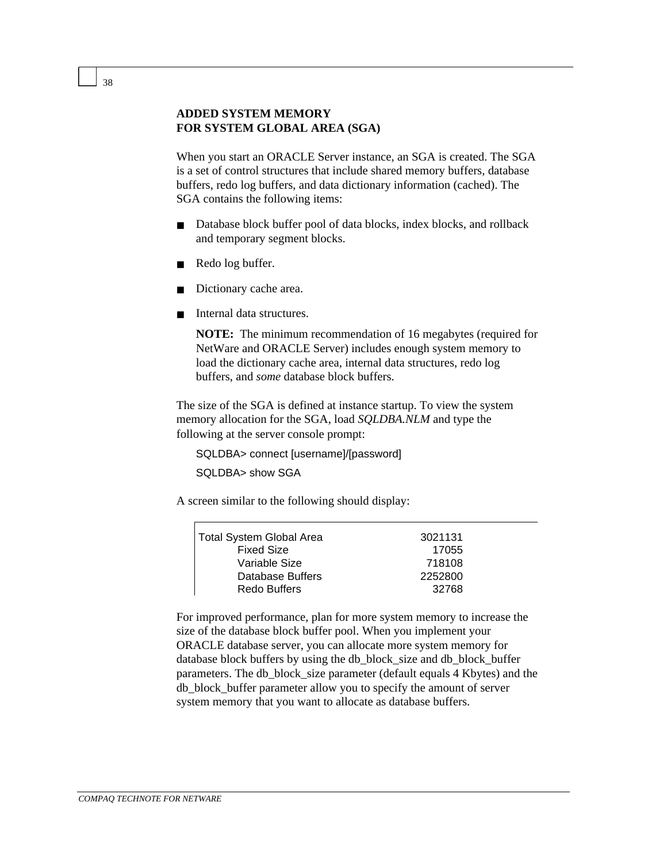#### **ADDED SYSTEM MEMORY FOR SYSTEM GLOBAL AREA (SGA)**

When you start an ORACLE Server instance, an SGA is created. The SGA is a set of control structures that include shared memory buffers, database buffers, redo log buffers, and data dictionary information (cached). The SGA contains the following items:

- Database block buffer pool of data blocks, index blocks, and rollback and temporary segment blocks.
- Redo log buffer.
- Dictionary cache area.
- Internal data structures.

**NOTE:** The minimum recommendation of 16 megabytes (required for NetWare and ORACLE Server) includes enough system memory to load the dictionary cache area, internal data structures, redo log buffers, and *some* database block buffers.

The size of the SGA is defined at instance startup. To view the system memory allocation for the SGA, load *SQLDBA.NLM* and type the following at the server console prompt:

SQLDBA> connect [username]/[password]

SQLDBA> show SGA

A screen similar to the following should display:

| <b>Total System Global Area</b> | 3021131 |
|---------------------------------|---------|
| <b>Fixed Size</b>               | 17055   |
| Variable Size                   | 718108  |
| Database Buffers                | 2252800 |
| Redo Buffers                    | 32768   |

For improved performance, plan for more system memory to increase the size of the database block buffer pool. When you implement your ORACLE database server, you can allocate more system memory for database block buffers by using the db\_block\_size and db\_block\_buffer parameters. The db\_block\_size parameter (default equals 4 Kbytes) and the db\_block\_buffer parameter allow you to specify the amount of server system memory that you want to allocate as database buffers.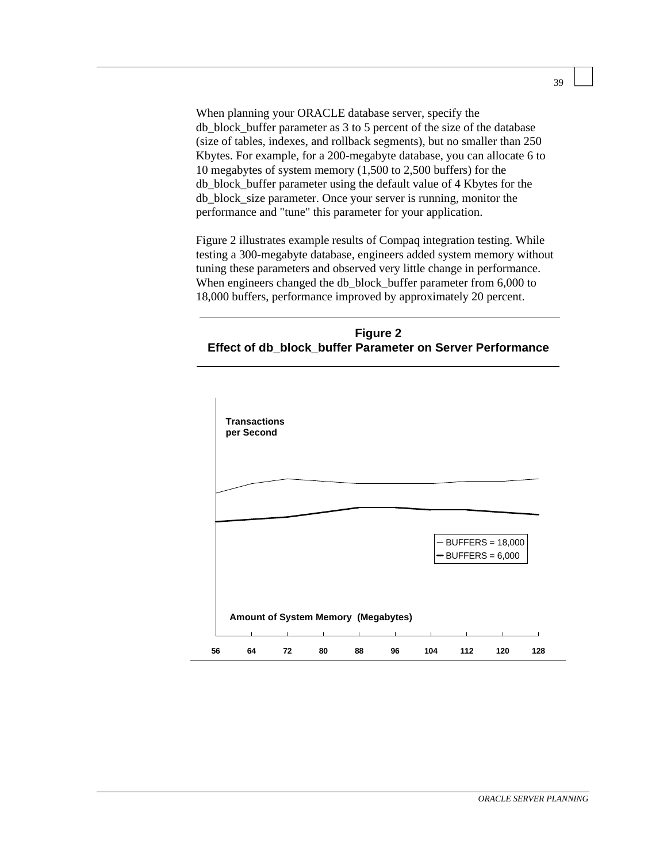When planning your ORACLE database server, specify the db\_block\_buffer parameter as 3 to 5 percent of the size of the database (size of tables, indexes, and rollback segments), but no smaller than 250 Kbytes. For example, for a 200-megabyte database, you can allocate 6 to 10 megabytes of system memory (1,500 to 2,500 buffers) for the db\_block\_buffer parameter using the default value of 4 Kbytes for the db\_block\_size parameter. Once your server is running, monitor the performance and "tune" this parameter for your application.

Figure 2 illustrates example results of Compaq integration testing. While testing a 300-megabyte database, engineers added system memory without tuning these parameters and observed very little change in performance. When engineers changed the db\_block\_buffer parameter from 6,000 to 18,000 buffers, performance improved by approximately 20 percent.

#### **Figure 2 Effect of db\_block\_buffer Parameter on Server Performance**

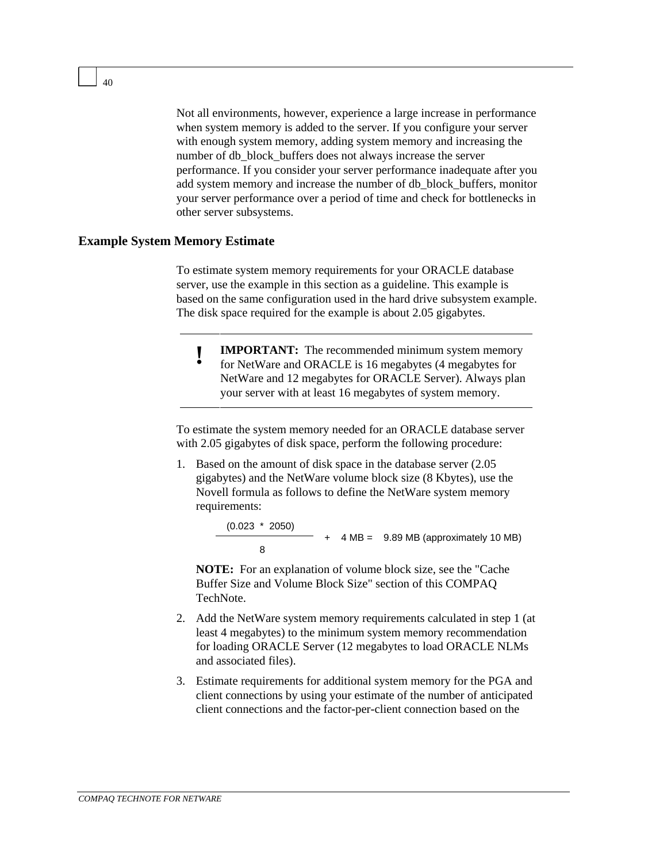Not all environments, however, experience a large increase in performance when system memory is added to the server. If you configure your server with enough system memory, adding system memory and increasing the number of db\_block\_buffers does not always increase the server performance. If you consider your server performance inadequate after you add system memory and increase the number of db\_block\_buffers, monitor your server performance over a period of time and check for bottlenecks in other server subsystems.

#### **Example System Memory Estimate**

To estimate system memory requirements for your ORACLE database server, use the example in this section as a guideline. This example is based on the same configuration used in the hard drive subsystem example. The disk space required for the example is about 2.05 gigabytes.

**IMPORTANT:** The recommended minimum system memory for NetWare and ORACLE is 16 megabytes (4 megabytes for NetWare and 12 megabytes for ORACLE Server). Always plan your server with at least 16 megabytes of system memory.

To estimate the system memory needed for an ORACLE database server with 2.05 gigabytes of disk space, perform the following procedure:

1. Based on the amount of disk space in the database server (2.05 gigabytes) and the NetWare volume block size (8 Kbytes), use the Novell formula as follows to define the NetWare system memory requirements:

> (0.023 \* 2050) + 4 MB = 9.89 MB (approximately 10 MB) 8

**NOTE:** For an explanation of volume block size, see the "Cache Buffer Size and Volume Block Size" section of this COMPAQ TechNote.

- 2. Add the NetWare system memory requirements calculated in step 1 (at least 4 megabytes) to the minimum system memory recommendation for loading ORACLE Server (12 megabytes to load ORACLE NLMs and associated files).
- 3. Estimate requirements for additional system memory for the PGA and client connections by using your estimate of the number of anticipated client connections and the factor-per-client connection based on the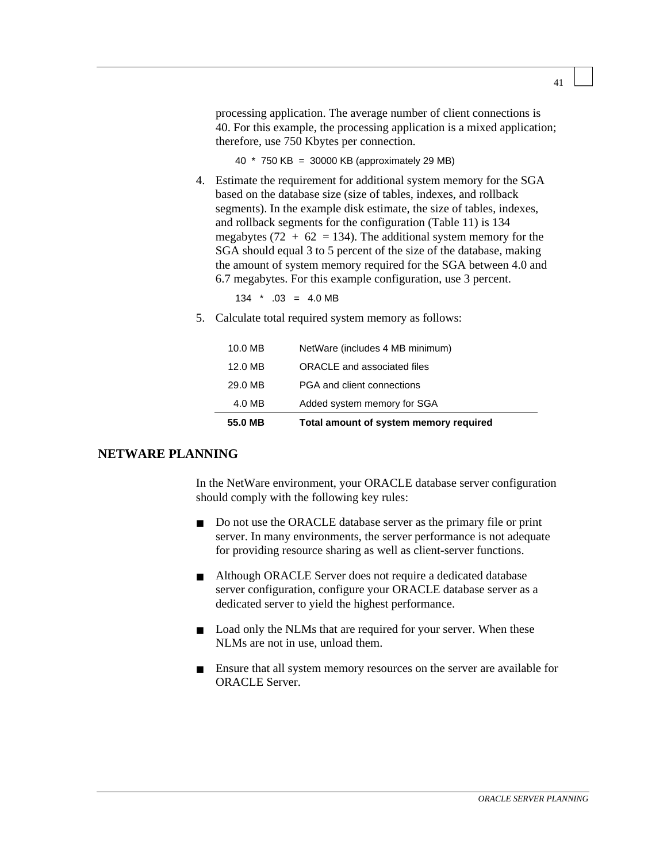processing application. The average number of client connections is 40. For this example, the processing application is a mixed application; therefore, use 750 Kbytes per connection.

40 \* 750 KB = 30000 KB (approximately 29 MB)

4. Estimate the requirement for additional system memory for the SGA based on the database size (size of tables, indexes, and rollback segments). In the example disk estimate, the size of tables, indexes, and rollback segments for the configuration (Table 11) is 134 megabytes (72 +  $62 = 134$ ). The additional system memory for the SGA should equal 3 to 5 percent of the size of the database, making the amount of system memory required for the SGA between 4.0 and 6.7 megabytes. For this example configuration, use 3 percent.

 $134 * .03 = 4.0 \text{ MB}$ 

5. Calculate total required system memory as follows:

| 55.0 MB | Total amount of system memory required |
|---------|----------------------------------------|
| 4.0 MB  | Added system memory for SGA            |
| 29.0 MB | PGA and client connections             |
| 12.0 MB | ORACLE and associated files            |
| 10.0 MB | NetWare (includes 4 MB minimum)        |

#### **NETWARE PLANNING**

In the NetWare environment, your ORACLE database server configuration should comply with the following key rules:

- Do not use the ORACLE database server as the primary file or print server. In many environments, the server performance is not adequate for providing resource sharing as well as client-server functions.
- Although ORACLE Server does not require a dedicated database server configuration, configure your ORACLE database server as a dedicated server to yield the highest performance.
- Load only the NLMs that are required for your server. When these NLMs are not in use, unload them.
- Ensure that all system memory resources on the server are available for ORACLE Server.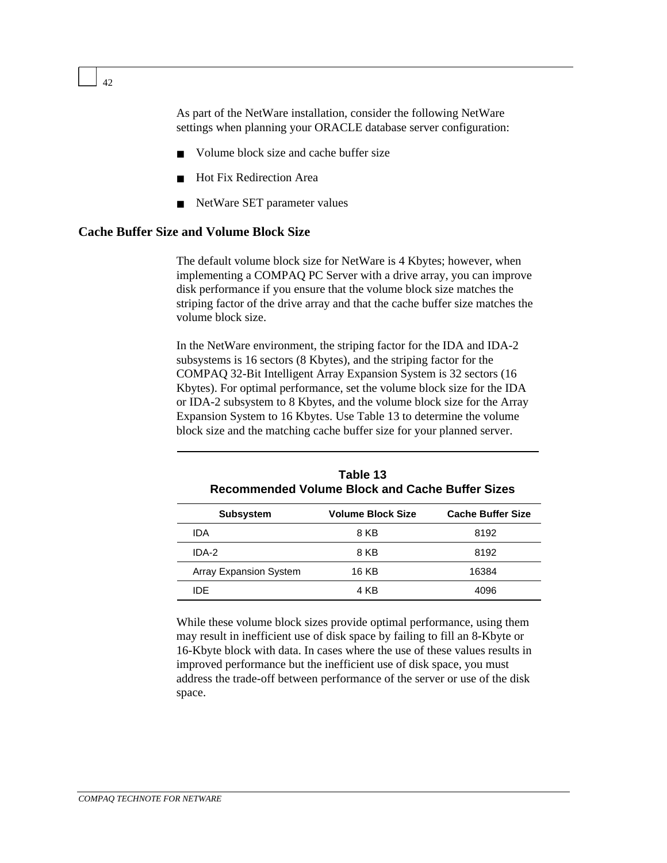As part of the NetWare installation, consider the following NetWare settings when planning your ORACLE database server configuration:

- Volume block size and cache buffer size
- **Hot Fix Redirection Area**
- NetWare SET parameter values

#### **Cache Buffer Size and Volume Block Size**

The default volume block size for NetWare is 4 Kbytes; however, when implementing a COMPAQ PC Server with a drive array, you can improve disk performance if you ensure that the volume block size matches the striping factor of the drive array and that the cache buffer size matches the volume block size.

In the NetWare environment, the striping factor for the IDA and IDA-2 subsystems is 16 sectors (8 Kbytes), and the striping factor for the COMPAQ 32-Bit Intelligent Array Expansion System is 32 sectors (16 Kbytes). For optimal performance, set the volume block size for the IDA or IDA-2 subsystem to 8 Kbytes, and the volume block size for the Array Expansion System to 16 Kbytes. Use Table 13 to determine the volume block size and the matching cache buffer size for your planned server.

| RECOMMENTED VOIDING DIVOR AND CAUNG DUNGI SIZES |                          |                          |
|-------------------------------------------------|--------------------------|--------------------------|
| <b>Subsystem</b>                                | <b>Volume Block Size</b> | <b>Cache Buffer Size</b> |
| <b>IDA</b>                                      | 8 KB                     | 8192                     |
| IDA-2                                           | 8 KB                     | 8192                     |
| <b>Array Expansion System</b>                   | 16 KB                    | 16384                    |
| IDE.                                            | 4 KB                     | 4096                     |

| Table 13                                        |
|-------------------------------------------------|
| Recommended Volume Block and Cache Buffer Sizes |

While these volume block sizes provide optimal performance, using them may result in inefficient use of disk space by failing to fill an 8-Kbyte or 16-Kbyte block with data. In cases where the use of these values results in improved performance but the inefficient use of disk space, you must address the trade-off between performance of the server or use of the disk space.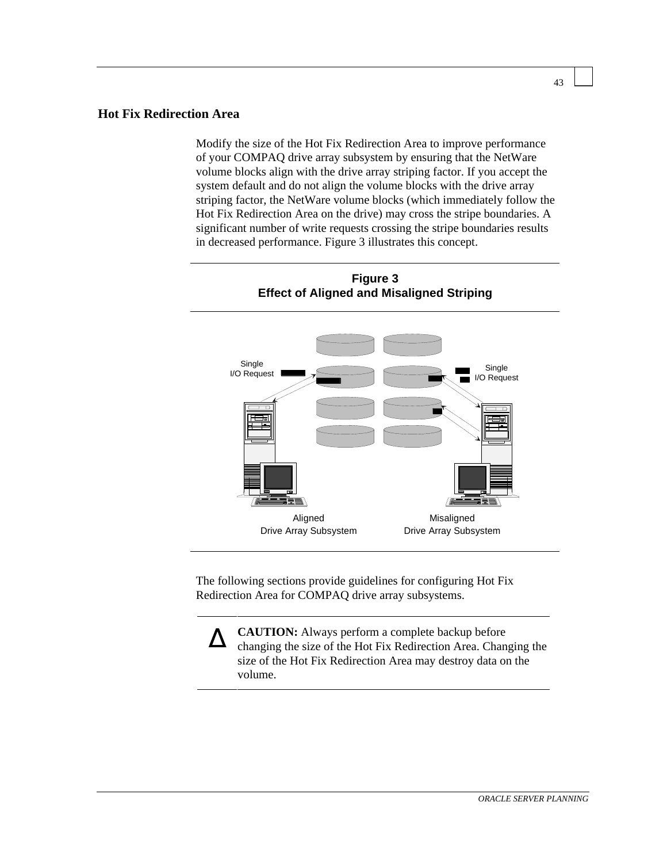#### **Hot Fix Redirection Area**

Modify the size of the Hot Fix Redirection Area to improve performance of your COMPAQ drive array subsystem by ensuring that the NetWare volume blocks align with the drive array striping factor. If you accept the system default and do not align the volume blocks with the drive array striping factor, the NetWare volume blocks (which immediately follow the Hot Fix Redirection Area on the drive) may cross the stripe boundaries. A significant number of write requests crossing the stripe boundaries results in decreased performance. Figure 3 illustrates this concept.

**Figure 3**



The following sections provide guidelines for configuring Hot Fix Redirection Area for COMPAQ drive array subsystems.

∆ **CAUTION:** Always perform a complete backup before changing the size of the Hot Fix Redirection Area. Changing the size of the Hot Fix Redirection Area may destroy data on the volume.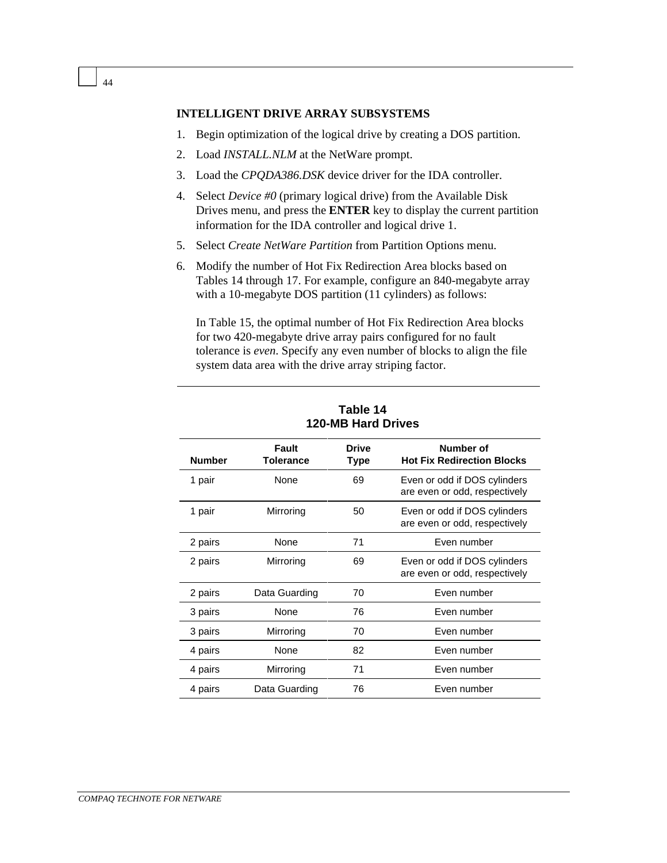#### **INTELLIGENT DRIVE ARRAY SUBSYSTEMS**

- 1. Begin optimization of the logical drive by creating a DOS partition.
- 2. Load *INSTALL.NLM* at the NetWare prompt.
- 3. Load the *CPQDA386.DSK* device driver for the IDA controller.
- 4. Select *Device #0* (primary logical drive) from the Available Disk Drives menu, and press the **ENTER** key to display the current partition information for the IDA controller and logical drive 1.
- 5. Select *Create NetWare Partition* from Partition Options menu.
- 6. Modify the number of Hot Fix Redirection Area blocks based on Tables 14 through 17. For example, configure an 840-megabyte array with a 10-megabyte DOS partition (11 cylinders) as follows:

In Table 15, the optimal number of Hot Fix Redirection Area blocks for two 420-megabyte drive array pairs configured for no fault tolerance is *even*. Specify any even number of blocks to align the file system data area with the drive array striping factor.

| <b>Number</b> | Fault<br><b>Tolerance</b> | <b>Drive</b><br>Type | Number of<br><b>Hot Fix Redirection Blocks</b>                |
|---------------|---------------------------|----------------------|---------------------------------------------------------------|
| 1 pair        | None                      | 69                   | Even or odd if DOS cylinders<br>are even or odd, respectively |
| 1 pair        | Mirroring                 | 50                   | Even or odd if DOS cylinders<br>are even or odd, respectively |
| 2 pairs       | None                      | 71                   | Even number                                                   |
| 2 pairs       | Mirroring                 | 69                   | Even or odd if DOS cylinders<br>are even or odd, respectively |
| 2 pairs       | Data Guarding             | 70                   | Even number                                                   |
| 3 pairs       | None                      | 76                   | Even number                                                   |
| 3 pairs       | Mirroring                 | 70                   | Even number                                                   |
| 4 pairs       | None                      | 82                   | Even number                                                   |
| 4 pairs       | Mirroring                 | 71                   | Even number                                                   |
| 4 pairs       | Data Guarding             | 76                   | Even number                                                   |

**Table 14 120-MB Hard Drives**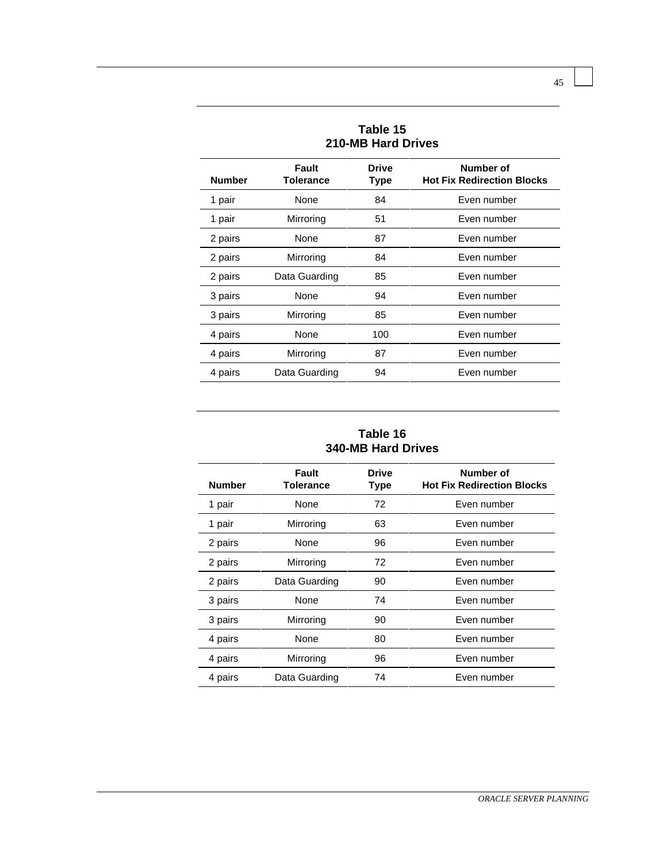| <b>210-MB Hard Drives</b> |                           |               |                                                |
|---------------------------|---------------------------|---------------|------------------------------------------------|
| <b>Number</b>             | Fault<br><b>Tolerance</b> | Drive<br>Type | Number of<br><b>Hot Fix Redirection Blocks</b> |
| 1 pair                    | None                      | 84            | Even number                                    |
| 1 pair                    | Mirroring                 | 51            | Even number                                    |
| 2 pairs                   | None                      | 87            | Even number                                    |
| 2 pairs                   | Mirroring                 | 84            | Even number                                    |
| 2 pairs                   | Data Guarding             | 85            | Even number                                    |
| 3 pairs                   | None                      | 94            | Even number                                    |
| 3 pairs                   | Mirroring                 | 85            | Even number                                    |
| 4 pairs                   | None                      | 100           | Even number                                    |
| 4 pairs                   | Mirroring                 | 87            | Even number                                    |
| 4 pairs                   | Data Guarding             | 94            | Even number                                    |

**Table 15**

#### **Table 16 340-MB Hard Drives**

| <b>Number</b> | Fault<br><b>Tolerance</b> | <b>Drive</b><br><b>Type</b> | Number of<br><b>Hot Fix Redirection Blocks</b> |
|---------------|---------------------------|-----------------------------|------------------------------------------------|
| 1 pair        | None                      | 72                          | Even number                                    |
| 1 pair        | Mirroring                 | 63                          | Even number                                    |
| 2 pairs       | None                      | 96                          | Even number                                    |
| 2 pairs       | Mirroring                 | 72                          | Even number                                    |
| 2 pairs       | Data Guarding             | 90                          | Even number                                    |
| 3 pairs       | None                      | 74                          | Even number                                    |
| 3 pairs       | Mirroring                 | 90                          | Even number                                    |
| 4 pairs       | None                      | 80                          | Even number                                    |
| 4 pairs       | Mirroring                 | 96                          | Even number                                    |
| 4 pairs       | Data Guarding             | 74                          | Even number                                    |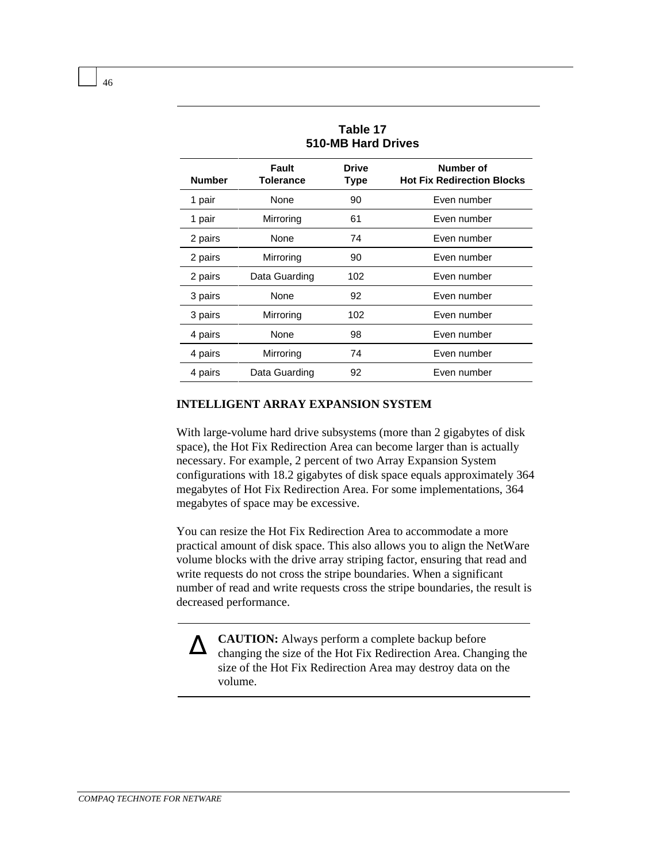| 1 GWIG 17<br>510-MB Hard Drives |                           |                             |                                                |
|---------------------------------|---------------------------|-----------------------------|------------------------------------------------|
| <b>Number</b>                   | Fault<br><b>Tolerance</b> | <b>Drive</b><br><b>Type</b> | Number of<br><b>Hot Fix Redirection Blocks</b> |
| 1 pair                          | None                      | 90                          | Even number                                    |
| 1 pair                          | Mirroring                 | 61                          | Even number                                    |
| 2 pairs                         | None                      | 74                          | Even number                                    |
| 2 pairs                         | Mirroring                 | 90                          | Even number                                    |
| 2 pairs                         | Data Guarding             | 102                         | Even number                                    |
| 3 pairs                         | None                      | 92                          | Even number                                    |
| 3 pairs                         | Mirroring                 | 102                         | Even number                                    |
| 4 pairs                         | None                      | 98                          | Even number                                    |
| 4 pairs                         | Mirroring                 | 74                          | Even number                                    |
| 4 pairs                         | Data Guarding             | 92                          | Even number                                    |

**Table 17**

#### **INTELLIGENT ARRAY EXPANSION SYSTEM**

With large-volume hard drive subsystems (more than 2 gigabytes of disk space), the Hot Fix Redirection Area can become larger than is actually necessary. For example, 2 percent of two Array Expansion System configurations with 18.2 gigabytes of disk space equals approximately 364 megabytes of Hot Fix Redirection Area. For some implementations, 364 megabytes of space may be excessive.

You can resize the Hot Fix Redirection Area to accommodate a more practical amount of disk space. This also allows you to align the NetWare volume blocks with the drive array striping factor, ensuring that read and write requests do not cross the stripe boundaries. When a significant number of read and write requests cross the stripe boundaries, the result is decreased performance.

∆ **CAUTION:** Always perform a complete backup before changing the size of the Hot Fix Redirection Area. Changing the size of the Hot Fix Redirection Area may destroy data on the volume.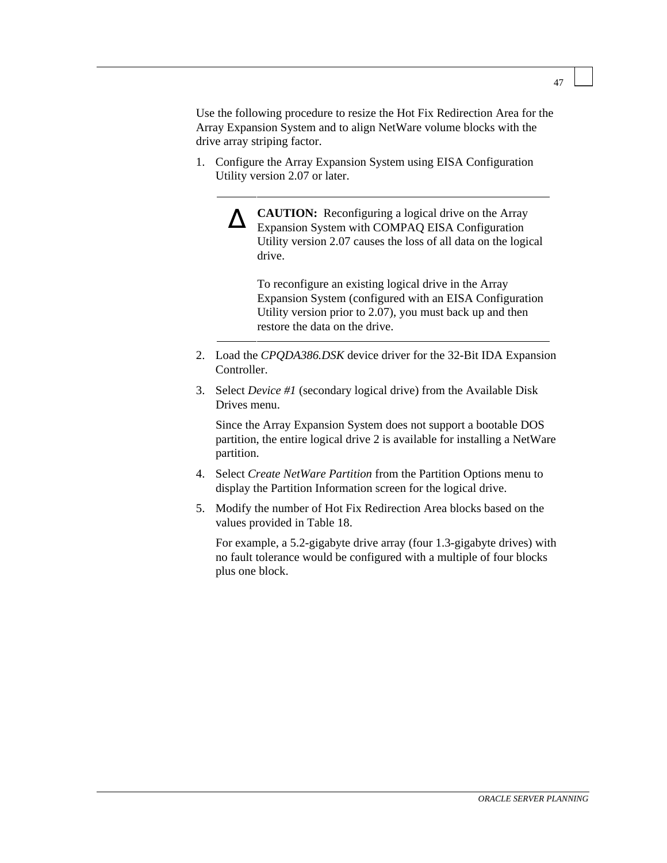Use the following procedure to resize the Hot Fix Redirection Area for the Array Expansion System and to align NetWare volume blocks with the drive array striping factor.

1. Configure the Array Expansion System using EISA Configuration Utility version 2.07 or later.

∆ **CAUTION:** Reconfiguring a logical drive on the Array Expansion System with COMPAQ EISA Configuration Utility version 2.07 causes the loss of all data on the logical drive.

To reconfigure an existing logical drive in the Array Expansion System (configured with an EISA Configuration Utility version prior to 2.07), you must back up and then restore the data on the drive.

- 2. Load the *CPQDA386.DSK* device driver for the 32-Bit IDA Expansion **Controller**
- 3. Select *Device #1* (secondary logical drive) from the Available Disk Drives menu.

Since the Array Expansion System does not support a bootable DOS partition, the entire logical drive 2 is available for installing a NetWare partition.

- 4. Select *Create NetWare Partition* from the Partition Options menu to display the Partition Information screen for the logical drive.
- 5. Modify the number of Hot Fix Redirection Area blocks based on the values provided in Table 18.

For example, a 5.2-gigabyte drive array (four 1.3-gigabyte drives) with no fault tolerance would be configured with a multiple of four blocks plus one block.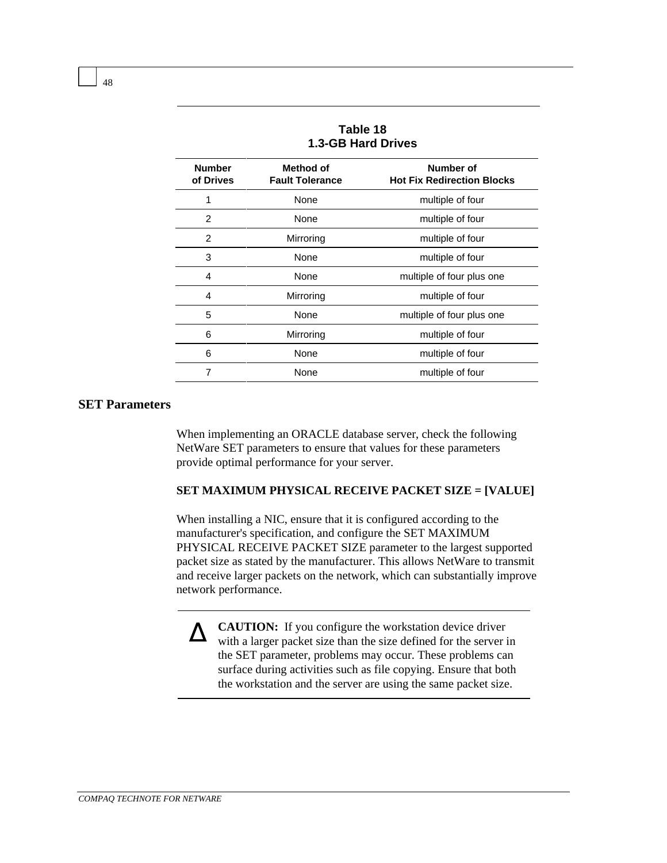| 1.3-GB Hard Drives                  |                                                |  |
|-------------------------------------|------------------------------------------------|--|
| Method of<br><b>Fault Tolerance</b> | Number of<br><b>Hot Fix Redirection Blocks</b> |  |
| None                                | multiple of four                               |  |
| None                                | multiple of four                               |  |
| Mirroring                           | multiple of four                               |  |
| None                                | multiple of four                               |  |
| None                                | multiple of four plus one                      |  |
| Mirroring                           | multiple of four                               |  |
| None                                | multiple of four plus one                      |  |
| Mirroring                           | multiple of four                               |  |
| None                                | multiple of four                               |  |
| None                                | multiple of four                               |  |
|                                     |                                                |  |

| Table 18           |  |
|--------------------|--|
| 1.3-GB Hard Drives |  |

#### **SET Parameters**

When implementing an ORACLE database server, check the following NetWare SET parameters to ensure that values for these parameters provide optimal performance for your server.

#### **SET MAXIMUM PHYSICAL RECEIVE PACKET SIZE = [VALUE]**

When installing a NIC, ensure that it is configured according to the manufacturer's specification, and configure the SET MAXIMUM PHYSICAL RECEIVE PACKET SIZE parameter to the largest supported packet size as stated by the manufacturer. This allows NetWare to transmit and receive larger packets on the network, which can substantially improve network performance.

△ **CAUTION:** If you configure the workstation device driver with a larger packet size than the size defined for the server in the SET parameter, problems may occur. These problems can surface during activities such as file copying. Ensure that both the workstation and the server are using the same packet size.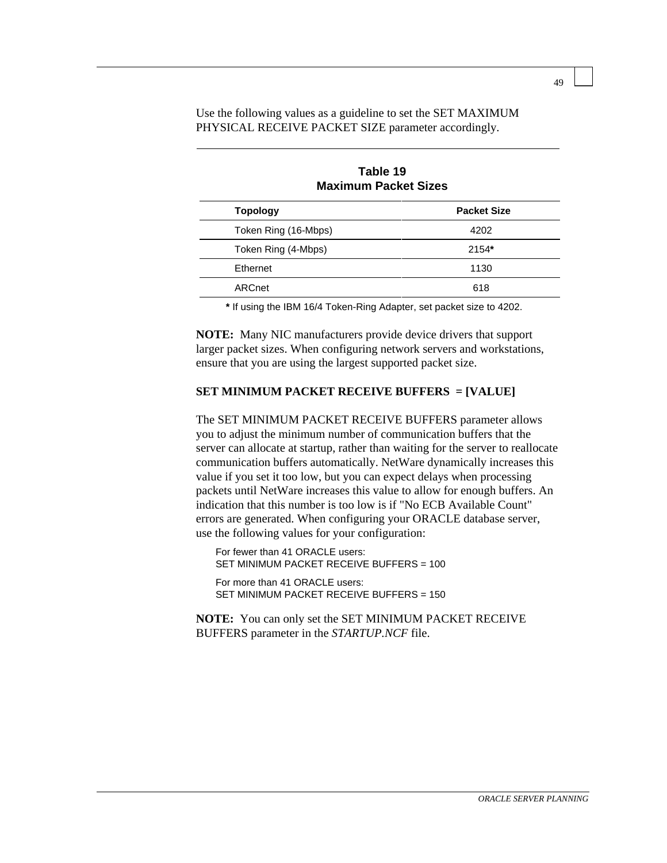Use the following values as a guideline to set the SET MAXIMUM PHYSICAL RECEIVE PACKET SIZE parameter accordingly.

| <b>Maximum Packet Sizes</b> |                    |  |
|-----------------------------|--------------------|--|
| <b>Topology</b>             | <b>Packet Size</b> |  |
| Token Ring (16-Mbps)        | 4202               |  |
| Token Ring (4-Mbps)         | 2154*              |  |
| Ethernet                    | 1130               |  |
| ARCnet                      | 618                |  |

**Table 19 Maximum Packet Sizes**

**\*** If using the IBM 16/4 Token-Ring Adapter, set packet size to 4202.

**NOTE:** Many NIC manufacturers provide device drivers that support larger packet sizes. When configuring network servers and workstations, ensure that you are using the largest supported packet size.

#### **SET MINIMUM PACKET RECEIVE BUFFERS = [VALUE]**

The SET MINIMUM PACKET RECEIVE BUFFERS parameter allows you to adjust the minimum number of communication buffers that the server can allocate at startup, rather than waiting for the server to reallocate communication buffers automatically. NetWare dynamically increases this value if you set it too low, but you can expect delays when processing packets until NetWare increases this value to allow for enough buffers. An indication that this number is too low is if "No ECB Available Count" errors are generated. When configuring your ORACLE database server, use the following values for your configuration:

For fewer than 41 ORACLE users: SET MINIMUM PACKET RECEIVE BUFFERS = 100 For more than 41 ORACLE users: SET MINIMUM PACKET RECEIVE BUFFERS = 150

**NOTE:** You can only set the SET MINIMUM PACKET RECEIVE BUFFERS parameter in the *STARTUP.NCF* file.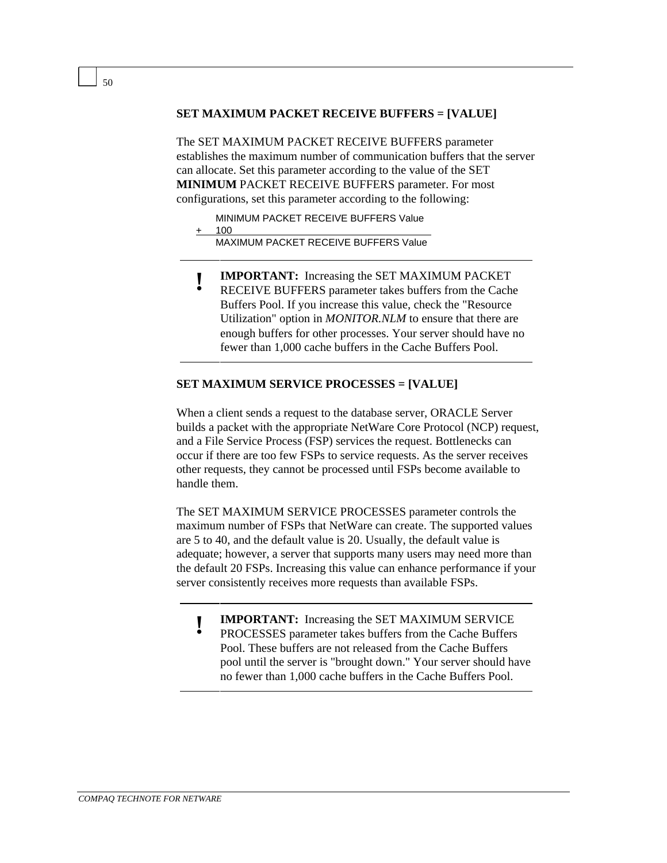#### **SET MAXIMUM PACKET RECEIVE BUFFERS = [VALUE]**

The SET MAXIMUM PACKET RECEIVE BUFFERS parameter establishes the maximum number of communication buffers that the server can allocate. Set this parameter according to the value of the SET **MINIMUM** PACKET RECEIVE BUFFERS parameter. For most configurations, set this parameter according to the following:

MINIMUM PACKET RECEIVE BUFFERS Value

+ 100

MAXIMUM PACKET RECEIVE BUFFERS Value

- 
- **! IMPORTANT:** Increasing the SET MAXIMUM PACKET<br>
RECEIVE BUFFERS parameter takes buffers from the Cache Buffers Pool. If you increase this value, check the "Resource Utilization" option in *MONITOR.NLM* to ensure that there are enough buffers for other processes. Your server should have no fewer than 1,000 cache buffers in the Cache Buffers Pool.

#### **SET MAXIMUM SERVICE PROCESSES = [VALUE]**

When a client sends a request to the database server, ORACLE Server builds a packet with the appropriate NetWare Core Protocol (NCP) request, and a File Service Process (FSP) services the request. Bottlenecks can occur if there are too few FSPs to service requests. As the server receives other requests, they cannot be processed until FSPs become available to handle them.

The SET MAXIMUM SERVICE PROCESSES parameter controls the maximum number of FSPs that NetWare can create. The supported values are 5 to 40, and the default value is 20. Usually, the default value is adequate; however, a server that supports many users may need more than the default 20 FSPs. Increasing this value can enhance performance if your server consistently receives more requests than available FSPs.

- **! IMPORTANT:** Increasing the SET MAXIMUM SERVICE
- PROCESSES parameter takes buffers from the Cache Buffers Pool. These buffers are not released from the Cache Buffers pool until the server is "brought down." Your server should have no fewer than 1,000 cache buffers in the Cache Buffers Pool.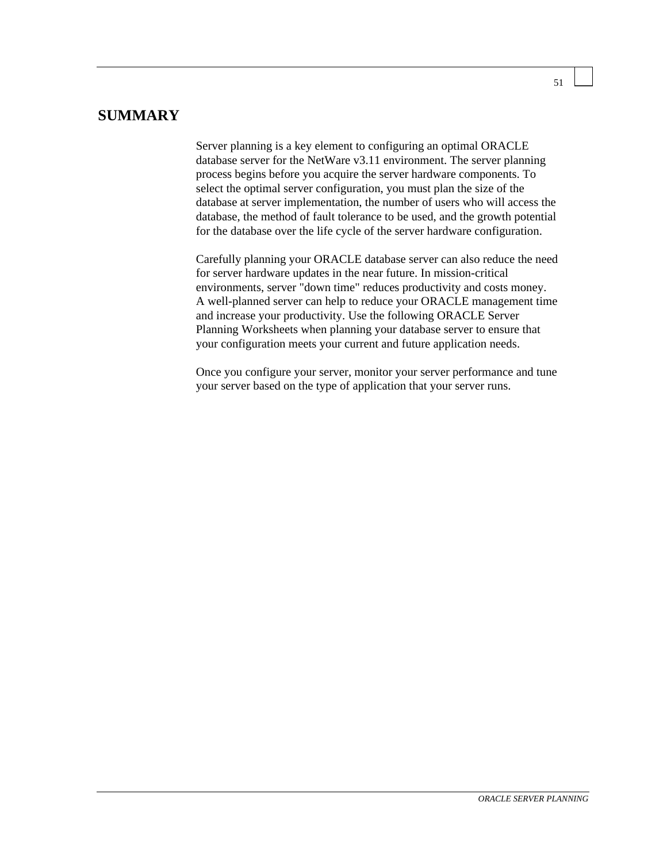## **SUMMARY**

Server planning is a key element to configuring an optimal ORACLE database server for the NetWare v3.11 environment. The server planning process begins before you acquire the server hardware components. To select the optimal server configuration, you must plan the size of the database at server implementation, the number of users who will access the database, the method of fault tolerance to be used, and the growth potential for the database over the life cycle of the server hardware configuration.

Carefully planning your ORACLE database server can also reduce the need for server hardware updates in the near future. In mission-critical environments, server "down time" reduces productivity and costs money. A well-planned server can help to reduce your ORACLE management time and increase your productivity. Use the following ORACLE Server Planning Worksheets when planning your database server to ensure that your configuration meets your current and future application needs.

Once you configure your server, monitor your server performance and tune your server based on the type of application that your server runs.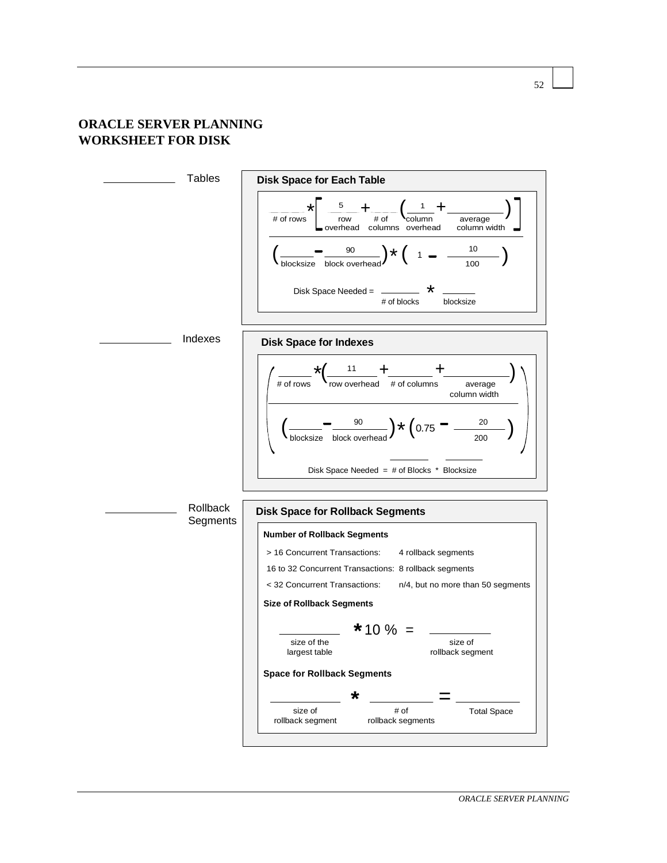#### **ORACLE SERVER PLANNING WORKSHEET FOR DISK**

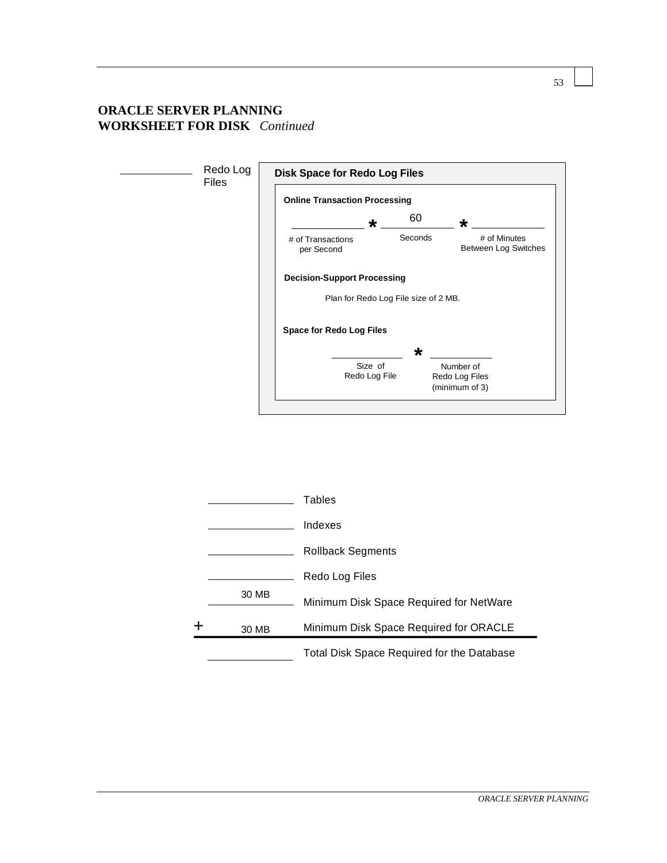## **ORACLE SERVER PLANNING WORKSHEET FOR DISK** *Continued*



|   |       | <b>Total Disk Space Required for the Database</b> |
|---|-------|---------------------------------------------------|
| ┿ | 30 MB | Minimum Disk Space Required for ORACLE            |
|   | 30 MB | Minimum Disk Space Required for NetWare           |
|   |       | Redo Log Files                                    |
|   |       | Rollback Segments                                 |
|   |       | Indexes                                           |
|   |       | <b>Tables</b>                                     |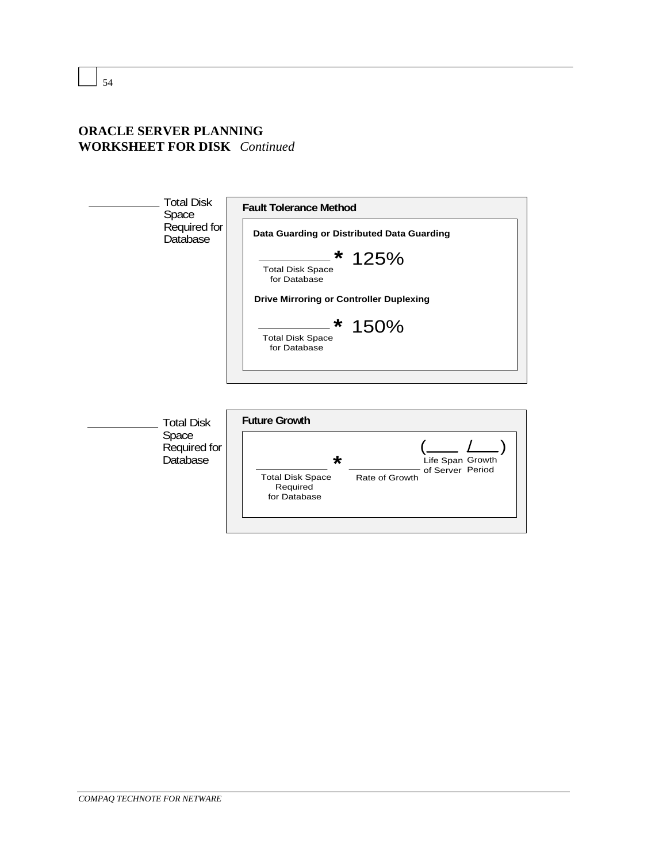## **ORACLE SERVER PLANNING WORKSHEET FOR DISK** *Continued*



Space Required for Database

| <b>Future Growth</b>                                           |                |                                      |  |  |  |  |
|----------------------------------------------------------------|----------------|--------------------------------------|--|--|--|--|
| $\star$<br><b>Total Disk Space</b><br>Required<br>for Database | Rate of Growth | Life Span Growth<br>of Server Period |  |  |  |  |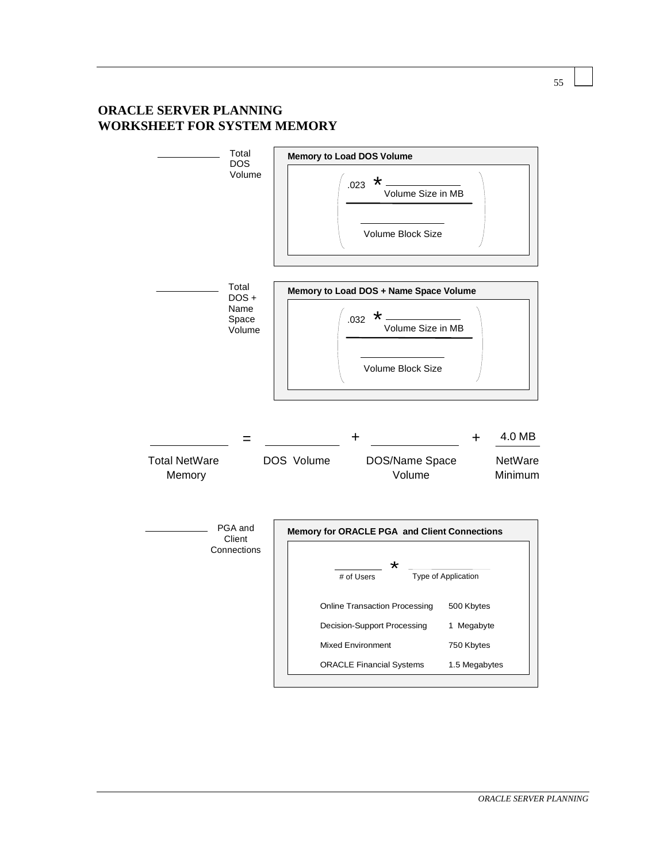## **ORACLE SERVER PLANNING WORKSHEET FOR SYSTEM MEMORY**

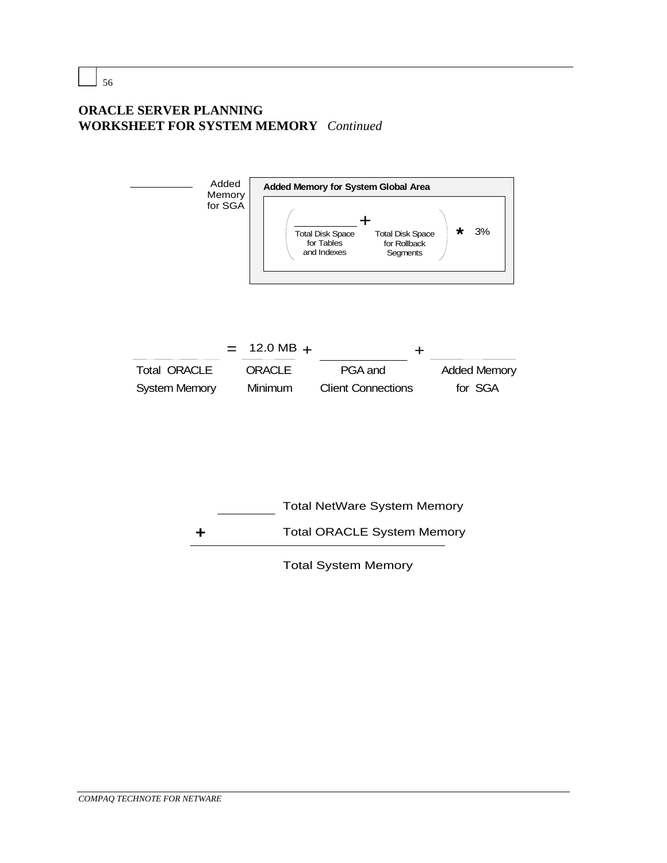## **ORACLE SERVER PLANNING WORKSHEET FOR SYSTEM MEMORY** *Continued*



Total System Memory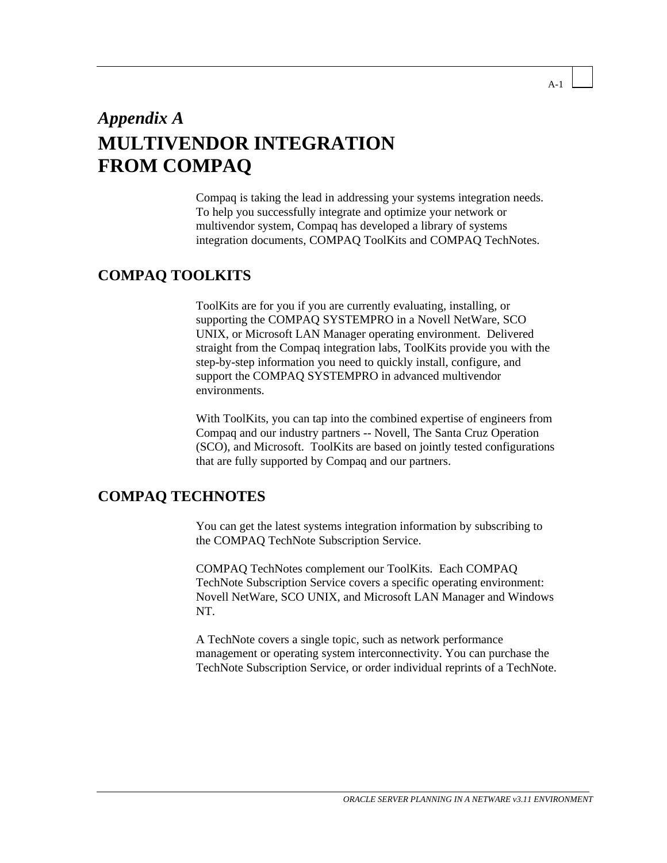# *Appendix A* **MULTIVENDOR INTEGRATION FROM COMPAQ**

Compaq is taking the lead in addressing your systems integration needs. To help you successfully integrate and optimize your network or multivendor system, Compaq has developed a library of systems integration documents, COMPAQ ToolKits and COMPAQ TechNotes.

## **COMPAQ TOOLKITS**

ToolKits are for you if you are currently evaluating, installing, or supporting the COMPAQ SYSTEMPRO in a Novell NetWare, SCO UNIX, or Microsoft LAN Manager operating environment. Delivered straight from the Compaq integration labs, ToolKits provide you with the step-by-step information you need to quickly install, configure, and support the COMPAQ SYSTEMPRO in advanced multivendor environments.

With ToolKits, you can tap into the combined expertise of engineers from Compaq and our industry partners -- Novell, The Santa Cruz Operation (SCO), and Microsoft. ToolKits are based on jointly tested configurations that are fully supported by Compaq and our partners.

## **COMPAQ TECHNOTES**

You can get the latest systems integration information by subscribing to the COMPAQ TechNote Subscription Service.

COMPAQ TechNotes complement our ToolKits. Each COMPAQ TechNote Subscription Service covers a specific operating environment: Novell NetWare, SCO UNIX, and Microsoft LAN Manager and Windows NT.

A TechNote covers a single topic, such as network performance management or operating system interconnectivity. You can purchase the TechNote Subscription Service, or order individual reprints of a TechNote.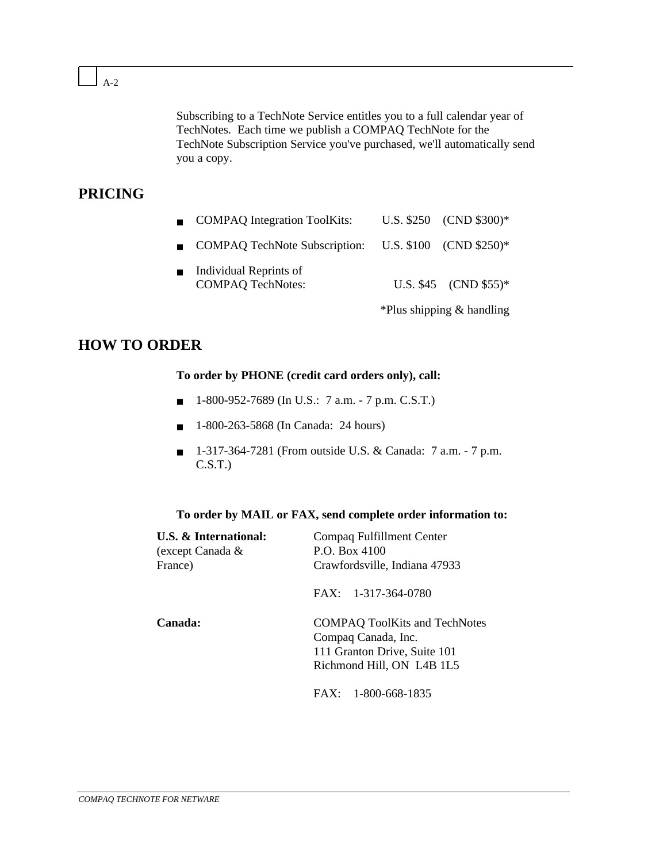A-2

Subscribing to a TechNote Service entitles you to a full calendar year of TechNotes. Each time we publish a COMPAQ TechNote for the TechNote Subscription Service you've purchased, we'll automatically send you a copy.

## **PRICING**

| ■ COMPAQ Integration ToolKits: | U.S. $$250$ (CND $$300)*$ |
|--------------------------------|---------------------------|
|                                |                           |

- COMPAQ TechNote Subscription: U.S. \$100 (CND \$250)\*
- Individual Reprints of COMPAQ TechNotes: U.S. \$45 (CND \$55)\*

\*Plus shipping & handling

## **HOW TO ORDER**

#### **To order by PHONE (credit card orders only), call:**

- 1-800-952-7689 (In U.S.: 7 a.m. 7 p.m. C.S.T.)
- 1-800-263-5868 (In Canada: 24 hours)
- 1-317-364-7281 (From outside U.S. & Canada: 7 a.m. 7 p.m. C.S.T.)

#### **To order by MAIL or FAX, send complete order information to:**

| <b>U.S. &amp; International:</b><br>(except Canada &<br>France) | Compaq Fulfillment Center<br>P.O. Box 4100<br>Crawfordsville, Indiana 47933                                              |  |  |
|-----------------------------------------------------------------|--------------------------------------------------------------------------------------------------------------------------|--|--|
|                                                                 | $FAX: 1-317-364-0780$                                                                                                    |  |  |
| Canada:                                                         | <b>COMPAQ ToolKits and TechNotes</b><br>Compaq Canada, Inc.<br>111 Granton Drive, Suite 101<br>Richmond Hill, ON L4B 1L5 |  |  |
|                                                                 | $FAX: 1-800-668-1835$                                                                                                    |  |  |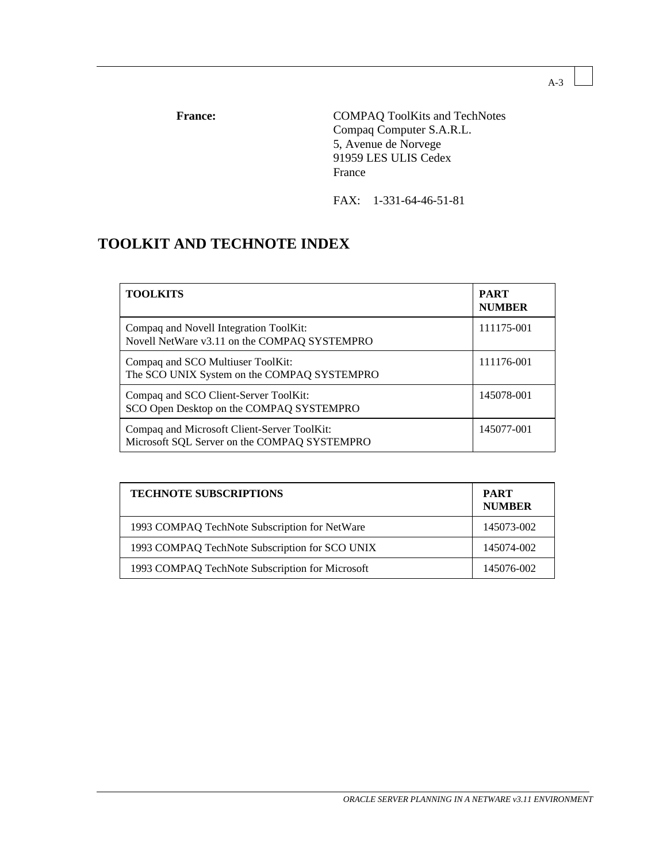France: COMPAQ ToolKits and TechNotes Compaq Computer S.A.R.L. 5, Avenue de Norvege 91959 LES ULIS Cedex France

FAX: 1-331-64-46-51-81

## **TOOLKIT AND TECHNOTE INDEX**

| <b>TOOLKITS</b>                                                                             | <b>PART</b><br><b>NUMBER</b> |
|---------------------------------------------------------------------------------------------|------------------------------|
| Compaq and Novell Integration ToolKit:<br>Novell NetWare v3.11 on the COMPAQ SYSTEMPRO      | 111175-001                   |
| Compaq and SCO Multiuser ToolKit:<br>The SCO UNIX System on the COMPAQ SYSTEMPRO            | 111176-001                   |
| Compaq and SCO Client-Server ToolKit:<br>SCO Open Desktop on the COMPAQ SYSTEMPRO           | 145078-001                   |
| Compaq and Microsoft Client-Server ToolKit:<br>Microsoft SQL Server on the COMPAQ SYSTEMPRO | 145077-001                   |

| <b>TECHNOTE SUBSCRIPTIONS</b>                   | <b>PART</b><br><b>NUMBER</b> |
|-------------------------------------------------|------------------------------|
| 1993 COMPAQ TechNote Subscription for NetWare   | 145073-002                   |
| 1993 COMPAQ TechNote Subscription for SCO UNIX  | 145074-002                   |
| 1993 COMPAQ TechNote Subscription for Microsoft | 145076-002                   |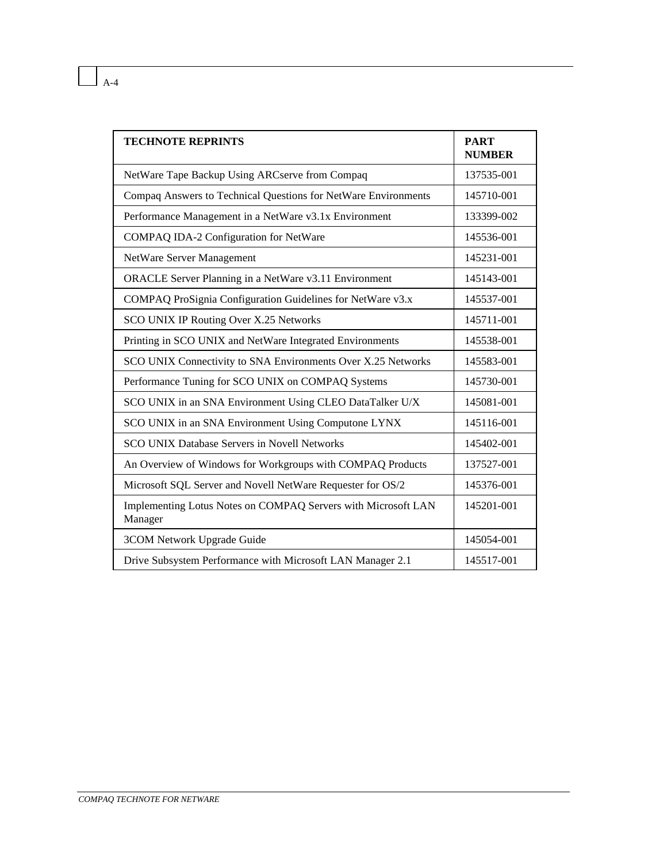| <b>TECHNOTE REPRINTS</b>                                                 | <b>PART</b><br><b>NUMBER</b> |
|--------------------------------------------------------------------------|------------------------------|
| NetWare Tape Backup Using ARCserve from Compaq                           | 137535-001                   |
| Compaq Answers to Technical Questions for NetWare Environments           | 145710-001                   |
| Performance Management in a NetWare v3.1x Environment                    | 133399-002                   |
| COMPAQ IDA-2 Configuration for NetWare                                   | 145536-001                   |
| NetWare Server Management                                                | 145231-001                   |
| ORACLE Server Planning in a NetWare v3.11 Environment                    | 145143-001                   |
| COMPAQ ProSignia Configuration Guidelines for NetWare v3.x               | 145537-001                   |
| SCO UNIX IP Routing Over X.25 Networks                                   | 145711-001                   |
| Printing in SCO UNIX and NetWare Integrated Environments                 | 145538-001                   |
| SCO UNIX Connectivity to SNA Environments Over X.25 Networks             | 145583-001                   |
| Performance Tuning for SCO UNIX on COMPAQ Systems                        | 145730-001                   |
| SCO UNIX in an SNA Environment Using CLEO DataTalker U/X                 | 145081-001                   |
| SCO UNIX in an SNA Environment Using Computone LYNX                      | 145116-001                   |
| <b>SCO UNIX Database Servers in Novell Networks</b>                      | 145402-001                   |
| An Overview of Windows for Workgroups with COMPAQ Products               | 137527-001                   |
| Microsoft SQL Server and Novell NetWare Requester for OS/2               | 145376-001                   |
| Implementing Lotus Notes on COMPAQ Servers with Microsoft LAN<br>Manager | 145201-001                   |
| 3COM Network Upgrade Guide                                               | 145054-001                   |
| Drive Subsystem Performance with Microsoft LAN Manager 2.1               | 145517-001                   |